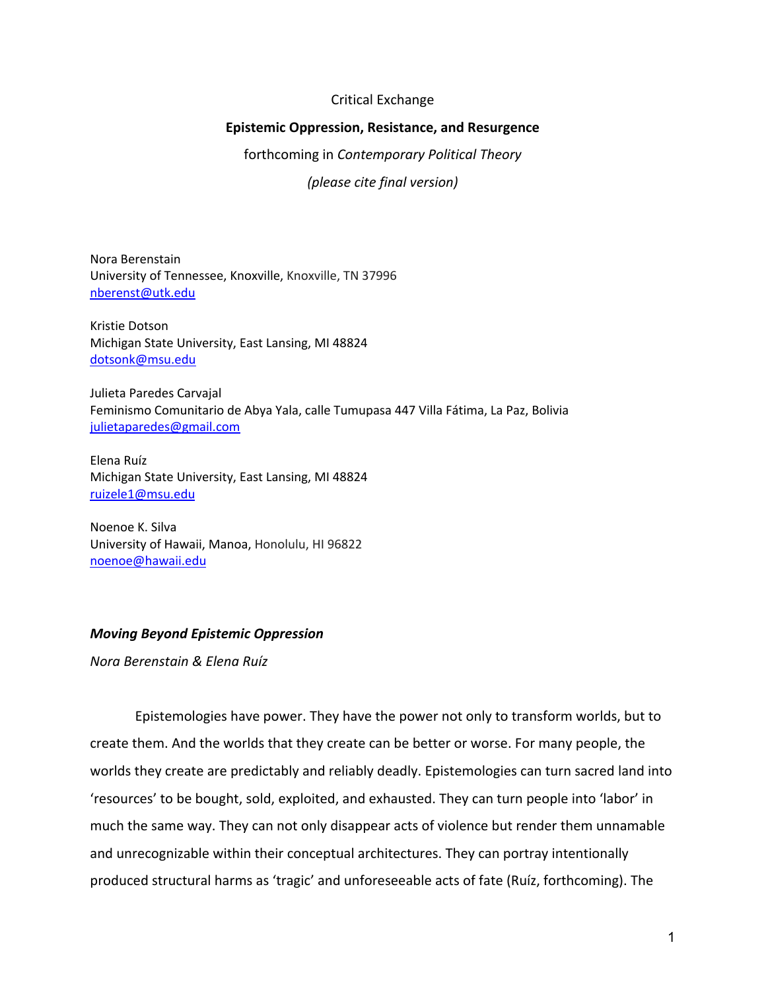## Critical Exchange

## **Epistemic Oppression, Resistance, and Resurgence**

forthcoming in *Contemporary Political Theory*

*(please cite final version)*

Nora Berenstain University of Tennessee, Knoxville, Knoxville, TN 37996 nberenst@utk.edu

Kristie Dotson Michigan State University, East Lansing, MI 48824 dotsonk@msu.edu

Julieta Paredes Carvajal Feminismo Comunitario de Abya Yala, calle Tumupasa 447 Villa Fátima, La Paz, Bolivia julietaparedes@gmail.com

Elena Ruíz Michigan State University, East Lansing, MI 48824 ruizele1@msu.edu

Noenoe K. Silva University of Hawaii, Manoa, Honolulu, HI 96822 noenoe@hawaii.edu

## *Moving Beyond Epistemic Oppression*

*Nora Berenstain & Elena Ruíz*

Epistemologies have power. They have the power not only to transform worlds, but to create them. And the worlds that they create can be better or worse. For many people, the worlds they create are predictably and reliably deadly. Epistemologies can turn sacred land into 'resources' to be bought, sold, exploited, and exhausted. They can turn people into 'labor' in much the same way. They can not only disappear acts of violence but render them unnamable and unrecognizable within their conceptual architectures. They can portray intentionally produced structural harms as 'tragic' and unforeseeable acts of fate (Ruíz, forthcoming). The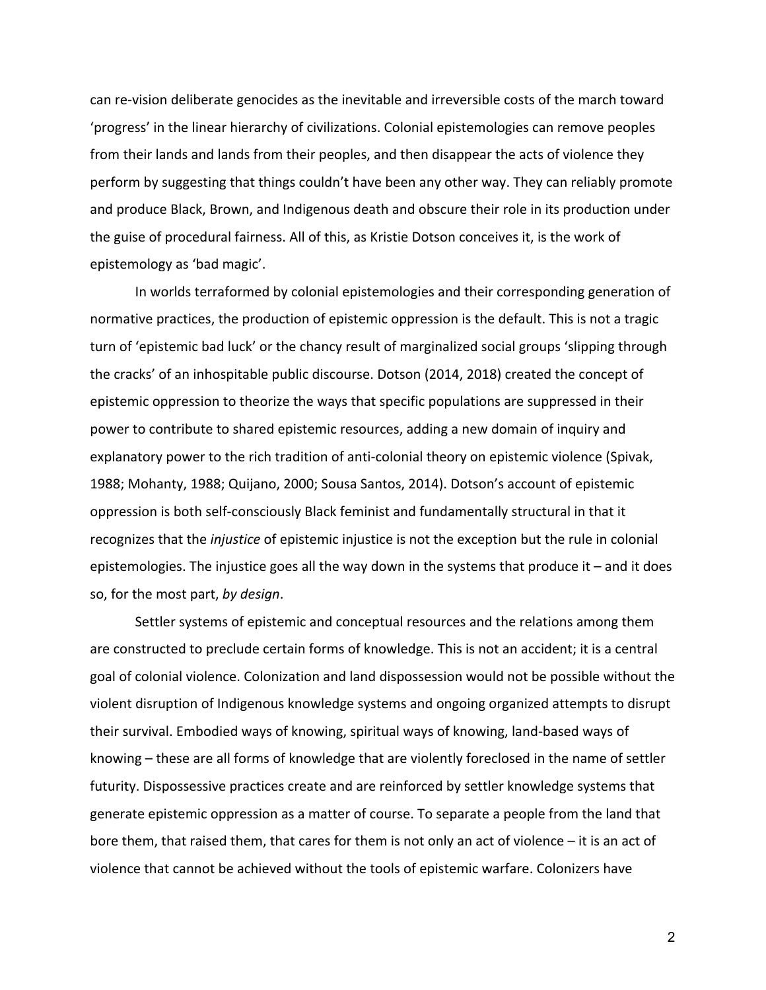can re-vision deliberate genocides as the inevitable and irreversible costs of the march toward 'progress' in the linear hierarchy of civilizations. Colonial epistemologies can remove peoples from their lands and lands from their peoples, and then disappear the acts of violence they perform by suggesting that things couldn't have been any other way. They can reliably promote and produce Black, Brown, and Indigenous death and obscure their role in its production under the guise of procedural fairness. All of this, as Kristie Dotson conceives it, is the work of epistemology as 'bad magic'.

In worlds terraformed by colonial epistemologies and their corresponding generation of normative practices, the production of epistemic oppression is the default. This is not a tragic turn of 'epistemic bad luck' or the chancy result of marginalized social groups 'slipping through the cracks' of an inhospitable public discourse. Dotson (2014, 2018) created the concept of epistemic oppression to theorize the ways that specific populations are suppressed in their power to contribute to shared epistemic resources, adding a new domain of inquiry and explanatory power to the rich tradition of anti-colonial theory on epistemic violence (Spivak, 1988; Mohanty, 1988; Quijano, 2000; Sousa Santos, 2014). Dotson's account of epistemic oppression is both self-consciously Black feminist and fundamentally structural in that it recognizes that the *injustice* of epistemic injustice is not the exception but the rule in colonial epistemologies. The injustice goes all the way down in the systems that produce it – and it does so, for the most part, *by design*.

Settler systems of epistemic and conceptual resources and the relations among them are constructed to preclude certain forms of knowledge. This is not an accident; it is a central goal of colonial violence. Colonization and land dispossession would not be possible without the violent disruption of Indigenous knowledge systems and ongoing organized attempts to disrupt their survival. Embodied ways of knowing, spiritual ways of knowing, land-based ways of knowing – these are all forms of knowledge that are violently foreclosed in the name of settler futurity. Dispossessive practices create and are reinforced by settler knowledge systems that generate epistemic oppression as a matter of course. To separate a people from the land that bore them, that raised them, that cares for them is not only an act of violence – it is an act of violence that cannot be achieved without the tools of epistemic warfare. Colonizers have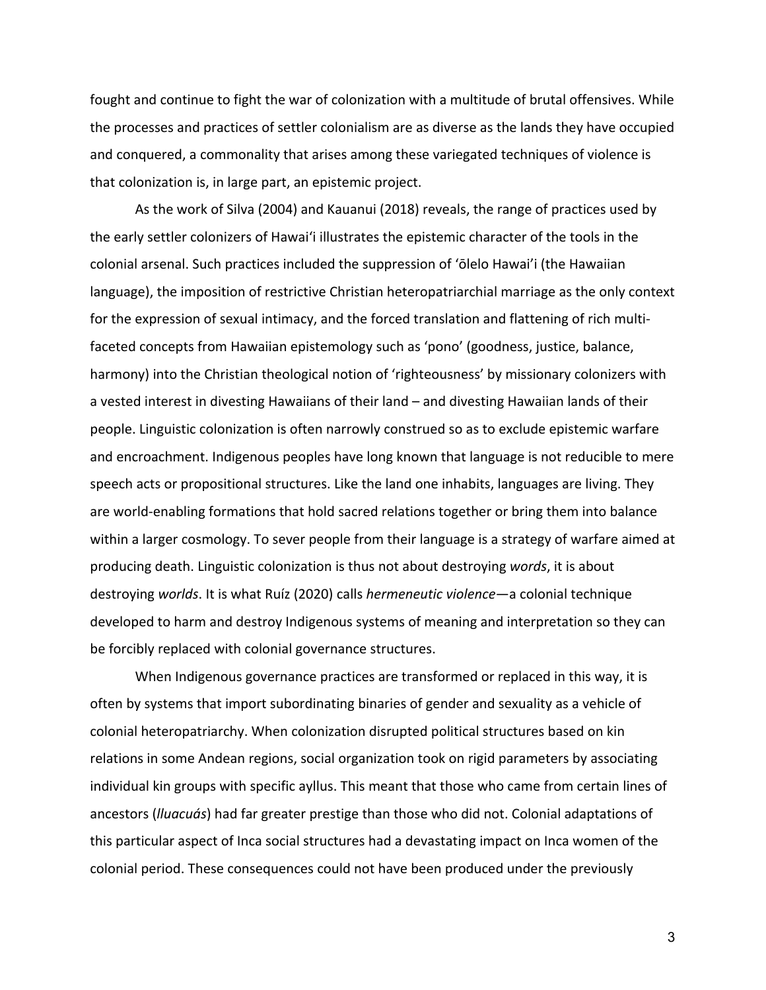fought and continue to fight the war of colonization with a multitude of brutal offensives. While the processes and practices of settler colonialism are as diverse as the lands they have occupied and conquered, a commonality that arises among these variegated techniques of violence is that colonization is, in large part, an epistemic project.

As the work of Silva (2004) and Kauanui (2018) reveals, the range of practices used by the early settler colonizers of Hawai'i illustrates the epistemic character of the tools in the colonial arsenal. Such practices included the suppression of 'ōlelo Hawai'i (the Hawaiian language), the imposition of restrictive Christian heteropatriarchial marriage as the only context for the expression of sexual intimacy, and the forced translation and flattening of rich multifaceted concepts from Hawaiian epistemology such as 'pono' (goodness, justice, balance, harmony) into the Christian theological notion of 'righteousness' by missionary colonizers with a vested interest in divesting Hawaiians of their land – and divesting Hawaiian lands of their people. Linguistic colonization is often narrowly construed so as to exclude epistemic warfare and encroachment. Indigenous peoples have long known that language is not reducible to mere speech acts or propositional structures. Like the land one inhabits, languages are living. They are world-enabling formations that hold sacred relations together or bring them into balance within a larger cosmology. To sever people from their language is a strategy of warfare aimed at producing death. Linguistic colonization is thus not about destroying *words*, it is about destroying *worlds*. It is what Ruíz (2020) calls *hermeneutic violence*—a colonial technique developed to harm and destroy Indigenous systems of meaning and interpretation so they can be forcibly replaced with colonial governance structures.

When Indigenous governance practices are transformed or replaced in this way, it is often by systems that import subordinating binaries of gender and sexuality as a vehicle of colonial heteropatriarchy. When colonization disrupted political structures based on kin relations in some Andean regions, social organization took on rigid parameters by associating individual kin groups with specific ayllus. This meant that those who came from certain lines of ancestors (*lluacuás*) had far greater prestige than those who did not. Colonial adaptations of this particular aspect of Inca social structures had a devastating impact on Inca women of the colonial period. These consequences could not have been produced under the previously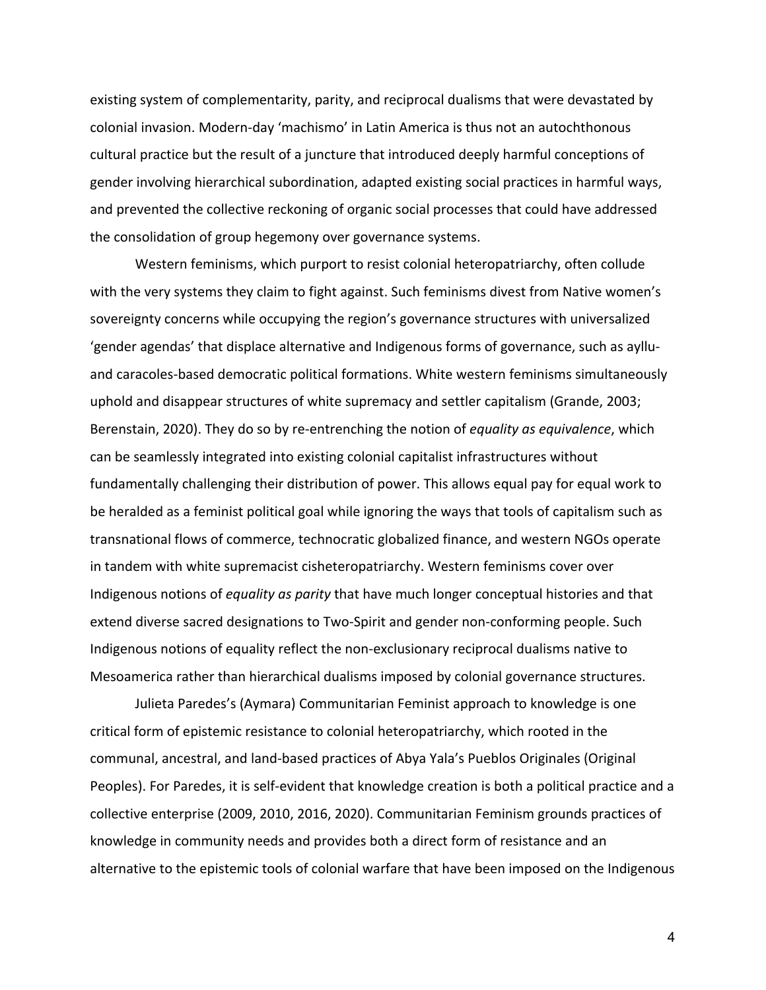existing system of complementarity, parity, and reciprocal dualisms that were devastated by colonial invasion. Modern-day 'machismo' in Latin America is thus not an autochthonous cultural practice but the result of a juncture that introduced deeply harmful conceptions of gender involving hierarchical subordination, adapted existing social practices in harmful ways, and prevented the collective reckoning of organic social processes that could have addressed the consolidation of group hegemony over governance systems.

Western feminisms, which purport to resist colonial heteropatriarchy, often collude with the very systems they claim to fight against. Such feminisms divest from Native women's sovereignty concerns while occupying the region's governance structures with universalized 'gender agendas' that displace alternative and Indigenous forms of governance, such as aylluand caracoles-based democratic political formations. White western feminisms simultaneously uphold and disappear structures of white supremacy and settler capitalism (Grande, 2003; Berenstain, 2020). They do so by re-entrenching the notion of *equality as equivalence*, which can be seamlessly integrated into existing colonial capitalist infrastructures without fundamentally challenging their distribution of power. This allows equal pay for equal work to be heralded as a feminist political goal while ignoring the ways that tools of capitalism such as transnational flows of commerce, technocratic globalized finance, and western NGOs operate in tandem with white supremacist cisheteropatriarchy. Western feminisms cover over Indigenous notions of *equality as parity* that have much longer conceptual histories and that extend diverse sacred designations to Two-Spirit and gender non-conforming people. Such Indigenous notions of equality reflect the non-exclusionary reciprocal dualisms native to Mesoamerica rather than hierarchical dualisms imposed by colonial governance structures.

Julieta Paredes's (Aymara) Communitarian Feminist approach to knowledge is one critical form of epistemic resistance to colonial heteropatriarchy, which rooted in the communal, ancestral, and land-based practices of Abya Yala's Pueblos Originales (Original Peoples). For Paredes, it is self-evident that knowledge creation is both a political practice and a collective enterprise (2009, 2010, 2016, 2020). Communitarian Feminism grounds practices of knowledge in community needs and provides both a direct form of resistance and an alternative to the epistemic tools of colonial warfare that have been imposed on the Indigenous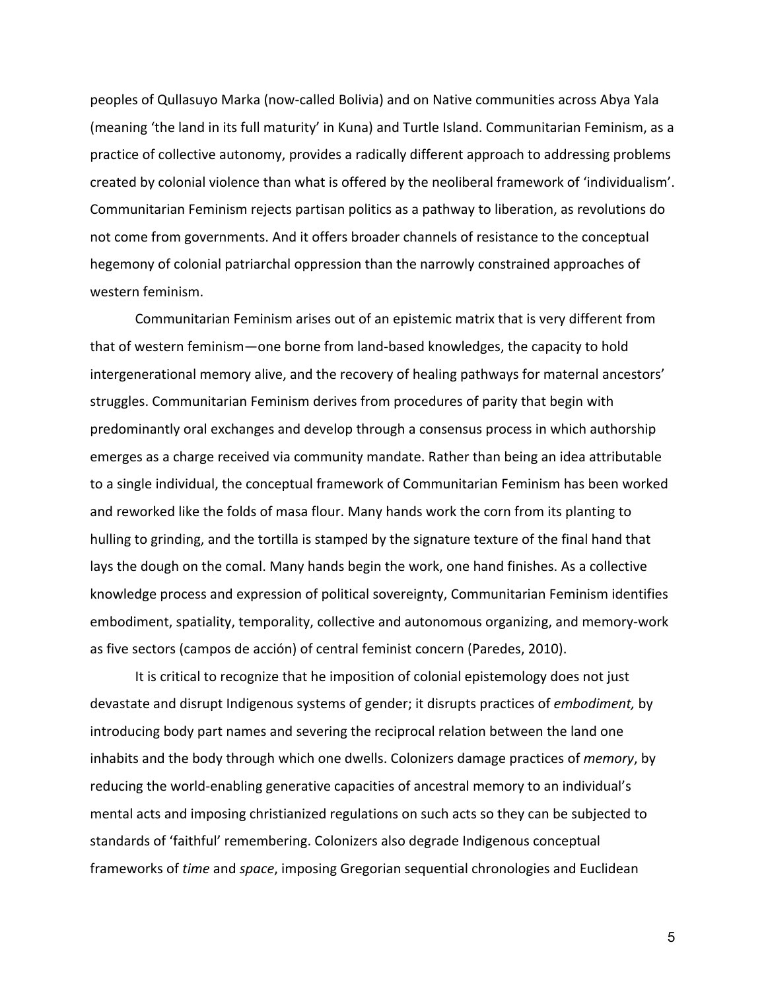peoples of Qullasuyo Marka (now-called Bolivia) and on Native communities across Abya Yala (meaning 'the land in its full maturity' in Kuna) and Turtle Island. Communitarian Feminism, as a practice of collective autonomy, provides a radically different approach to addressing problems created by colonial violence than what is offered by the neoliberal framework of 'individualism'. Communitarian Feminism rejects partisan politics as a pathway to liberation, as revolutions do not come from governments. And it offers broader channels of resistance to the conceptual hegemony of colonial patriarchal oppression than the narrowly constrained approaches of western feminism.

Communitarian Feminism arises out of an epistemic matrix that is very different from that of western feminism—one borne from land-based knowledges, the capacity to hold intergenerational memory alive, and the recovery of healing pathways for maternal ancestors' struggles. Communitarian Feminism derives from procedures of parity that begin with predominantly oral exchanges and develop through a consensus process in which authorship emerges as a charge received via community mandate. Rather than being an idea attributable to a single individual, the conceptual framework of Communitarian Feminism has been worked and reworked like the folds of masa flour. Many hands work the corn from its planting to hulling to grinding, and the tortilla is stamped by the signature texture of the final hand that lays the dough on the comal. Many hands begin the work, one hand finishes. As a collective knowledge process and expression of political sovereignty, Communitarian Feminism identifies embodiment, spatiality, temporality, collective and autonomous organizing, and memory-work as five sectors (campos de acción) of central feminist concern (Paredes, 2010).

It is critical to recognize that he imposition of colonial epistemology does not just devastate and disrupt Indigenous systems of gender; it disrupts practices of *embodiment,* by introducing body part names and severing the reciprocal relation between the land one inhabits and the body through which one dwells. Colonizers damage practices of *memory*, by reducing the world-enabling generative capacities of ancestral memory to an individual's mental acts and imposing christianized regulations on such acts so they can be subjected to standards of 'faithful' remembering. Colonizers also degrade Indigenous conceptual frameworks of *time* and *space*, imposing Gregorian sequential chronologies and Euclidean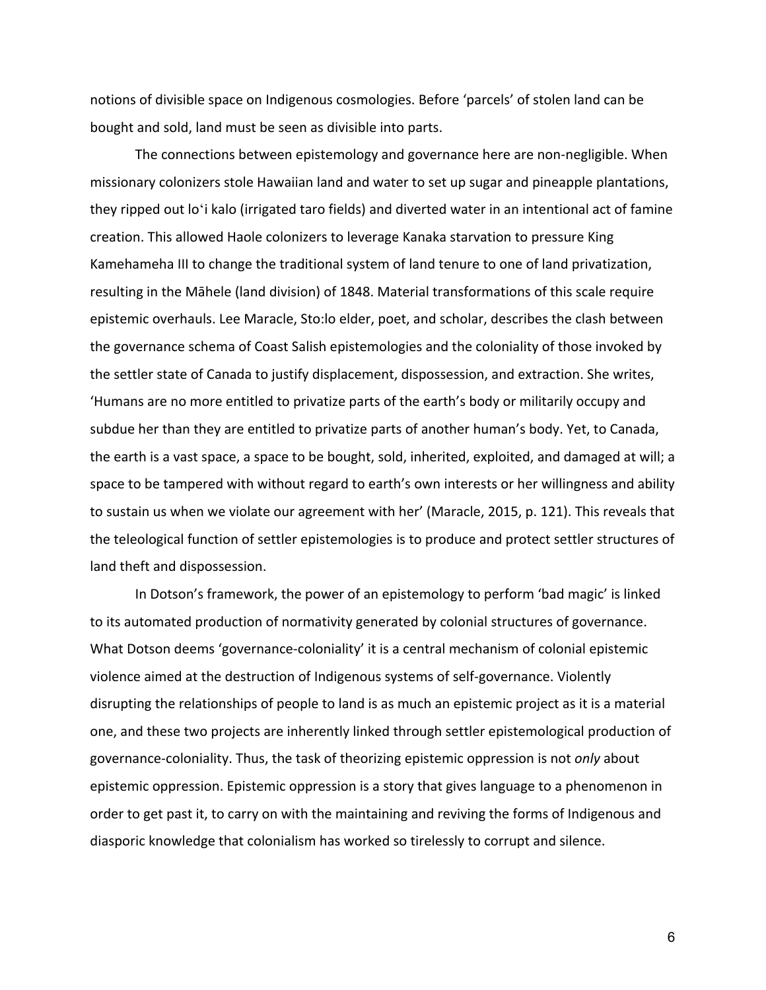notions of divisible space on Indigenous cosmologies. Before 'parcels' of stolen land can be bought and sold, land must be seen as divisible into parts.

The connections between epistemology and governance here are non-negligible. When missionary colonizers stole Hawaiian land and water to set up sugar and pineapple plantations, they ripped out loʻi kalo (irrigated taro fields) and diverted water in an intentional act of famine creation. This allowed Haole colonizers to leverage Kanaka starvation to pressure King Kamehameha III to change the traditional system of land tenure to one of land privatization, resulting in the Māhele (land division) of 1848. Material transformations of this scale require epistemic overhauls. Lee Maracle, Sto:lo elder, poet, and scholar, describes the clash between the governance schema of Coast Salish epistemologies and the coloniality of those invoked by the settler state of Canada to justify displacement, dispossession, and extraction. She writes, 'Humans are no more entitled to privatize parts of the earth's body or militarily occupy and subdue her than they are entitled to privatize parts of another human's body. Yet, to Canada, the earth is a vast space, a space to be bought, sold, inherited, exploited, and damaged at will; a space to be tampered with without regard to earth's own interests or her willingness and ability to sustain us when we violate our agreement with her' (Maracle, 2015, p. 121). This reveals that the teleological function of settler epistemologies is to produce and protect settler structures of land theft and dispossession.

In Dotson's framework, the power of an epistemology to perform 'bad magic' is linked to its automated production of normativity generated by colonial structures of governance. What Dotson deems 'governance-coloniality' it is a central mechanism of colonial epistemic violence aimed at the destruction of Indigenous systems of self-governance. Violently disrupting the relationships of people to land is as much an epistemic project as it is a material one, and these two projects are inherently linked through settler epistemological production of governance-coloniality. Thus, the task of theorizing epistemic oppression is not *only* about epistemic oppression. Epistemic oppression is a story that gives language to a phenomenon in order to get past it, to carry on with the maintaining and reviving the forms of Indigenous and diasporic knowledge that colonialism has worked so tirelessly to corrupt and silence.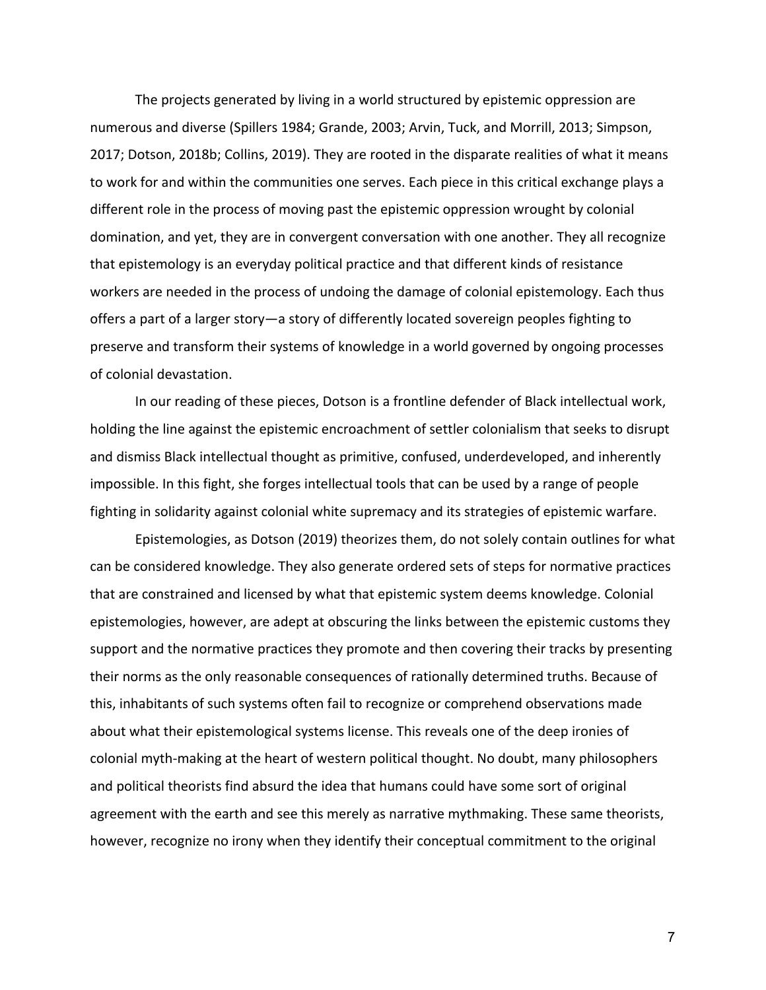The projects generated by living in a world structured by epistemic oppression are numerous and diverse (Spillers 1984; Grande, 2003; Arvin, Tuck, and Morrill, 2013; Simpson, 2017; Dotson, 2018b; Collins, 2019). They are rooted in the disparate realities of what it means to work for and within the communities one serves. Each piece in this critical exchange plays a different role in the process of moving past the epistemic oppression wrought by colonial domination, and yet, they are in convergent conversation with one another. They all recognize that epistemology is an everyday political practice and that different kinds of resistance workers are needed in the process of undoing the damage of colonial epistemology. Each thus offers a part of a larger story—a story of differently located sovereign peoples fighting to preserve and transform their systems of knowledge in a world governed by ongoing processes of colonial devastation.

In our reading of these pieces, Dotson is a frontline defender of Black intellectual work, holding the line against the epistemic encroachment of settler colonialism that seeks to disrupt and dismiss Black intellectual thought as primitive, confused, underdeveloped, and inherently impossible. In this fight, she forges intellectual tools that can be used by a range of people fighting in solidarity against colonial white supremacy and its strategies of epistemic warfare.

Epistemologies, as Dotson (2019) theorizes them, do not solely contain outlines for what can be considered knowledge. They also generate ordered sets of steps for normative practices that are constrained and licensed by what that epistemic system deems knowledge. Colonial epistemologies, however, are adept at obscuring the links between the epistemic customs they support and the normative practices they promote and then covering their tracks by presenting their norms as the only reasonable consequences of rationally determined truths. Because of this, inhabitants of such systems often fail to recognize or comprehend observations made about what their epistemological systems license. This reveals one of the deep ironies of colonial myth-making at the heart of western political thought. No doubt, many philosophers and political theorists find absurd the idea that humans could have some sort of original agreement with the earth and see this merely as narrative mythmaking. These same theorists, however, recognize no irony when they identify their conceptual commitment to the original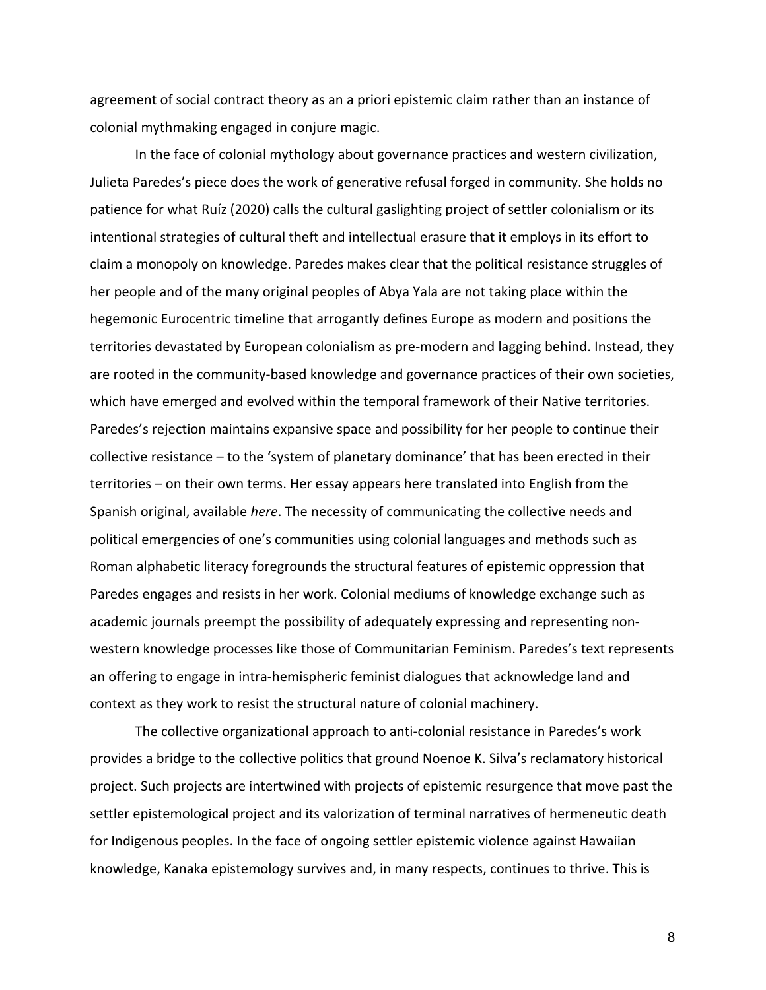agreement of social contract theory as an a priori epistemic claim rather than an instance of colonial mythmaking engaged in conjure magic.

In the face of colonial mythology about governance practices and western civilization, Julieta Paredes's piece does the work of generative refusal forged in community. She holds no patience for what Ruíz (2020) calls the cultural gaslighting project of settler colonialism or its intentional strategies of cultural theft and intellectual erasure that it employs in its effort to claim a monopoly on knowledge. Paredes makes clear that the political resistance struggles of her people and of the many original peoples of Abya Yala are not taking place within the hegemonic Eurocentric timeline that arrogantly defines Europe as modern and positions the territories devastated by European colonialism as pre-modern and lagging behind. Instead, they are rooted in the community-based knowledge and governance practices of their own societies, which have emerged and evolved within the temporal framework of their Native territories. Paredes's rejection maintains expansive space and possibility for her people to continue their collective resistance – to the 'system of planetary dominance' that has been erected in their territories – on their own terms. Her essay appears here translated into English from the Spanish original, available *here*. The necessity of communicating the collective needs and political emergencies of one's communities using colonial languages and methods such as Roman alphabetic literacy foregrounds the structural features of epistemic oppression that Paredes engages and resists in her work. Colonial mediums of knowledge exchange such as academic journals preempt the possibility of adequately expressing and representing nonwestern knowledge processes like those of Communitarian Feminism. Paredes's text represents an offering to engage in intra-hemispheric feminist dialogues that acknowledge land and context as they work to resist the structural nature of colonial machinery.

The collective organizational approach to anti-colonial resistance in Paredes's work provides a bridge to the collective politics that ground Noenoe K. Silva's reclamatory historical project. Such projects are intertwined with projects of epistemic resurgence that move past the settler epistemological project and its valorization of terminal narratives of hermeneutic death for Indigenous peoples. In the face of ongoing settler epistemic violence against Hawaiian knowledge, Kanaka epistemology survives and, in many respects, continues to thrive. This is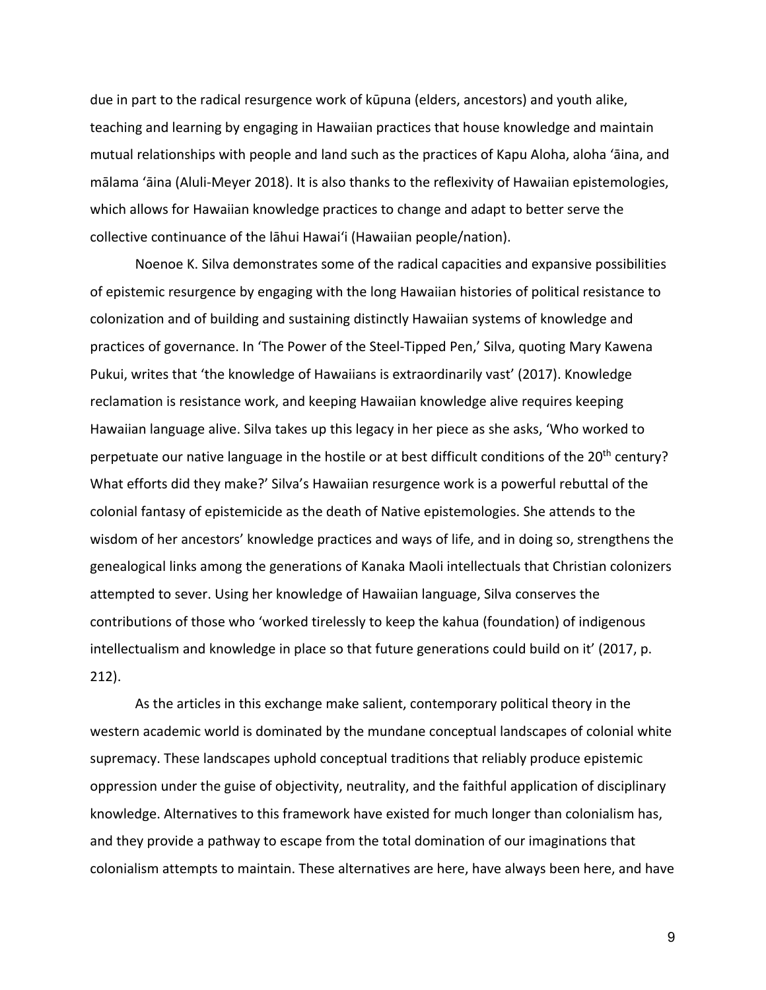due in part to the radical resurgence work of kūpuna (elders, ancestors) and youth alike, teaching and learning by engaging in Hawaiian practices that house knowledge and maintain mutual relationships with people and land such as the practices of Kapu Aloha, aloha 'āina, and mālama 'āina (Aluli-Meyer 2018). It is also thanks to the reflexivity of Hawaiian epistemologies, which allows for Hawaiian knowledge practices to change and adapt to better serve the collective continuance of the lāhui Hawai'i (Hawaiian people/nation).

Noenoe K. Silva demonstrates some of the radical capacities and expansive possibilities of epistemic resurgence by engaging with the long Hawaiian histories of political resistance to colonization and of building and sustaining distinctly Hawaiian systems of knowledge and practices of governance. In 'The Power of the Steel-Tipped Pen,' Silva, quoting Mary Kawena Pukui, writes that 'the knowledge of Hawaiians is extraordinarily vast' (2017). Knowledge reclamation is resistance work, and keeping Hawaiian knowledge alive requires keeping Hawaiian language alive. Silva takes up this legacy in her piece as she asks, 'Who worked to perpetuate our native language in the hostile or at best difficult conditions of the 20<sup>th</sup> century? What efforts did they make?' Silva's Hawaiian resurgence work is a powerful rebuttal of the colonial fantasy of epistemicide as the death of Native epistemologies. She attends to the wisdom of her ancestors' knowledge practices and ways of life, and in doing so, strengthens the genealogical links among the generations of Kanaka Maoli intellectuals that Christian colonizers attempted to sever. Using her knowledge of Hawaiian language, Silva conserves the contributions of those who 'worked tirelessly to keep the kahua (foundation) of indigenous intellectualism and knowledge in place so that future generations could build on it' (2017, p. 212).

As the articles in this exchange make salient, contemporary political theory in the western academic world is dominated by the mundane conceptual landscapes of colonial white supremacy. These landscapes uphold conceptual traditions that reliably produce epistemic oppression under the guise of objectivity, neutrality, and the faithful application of disciplinary knowledge. Alternatives to this framework have existed for much longer than colonialism has, and they provide a pathway to escape from the total domination of our imaginations that colonialism attempts to maintain. These alternatives are here, have always been here, and have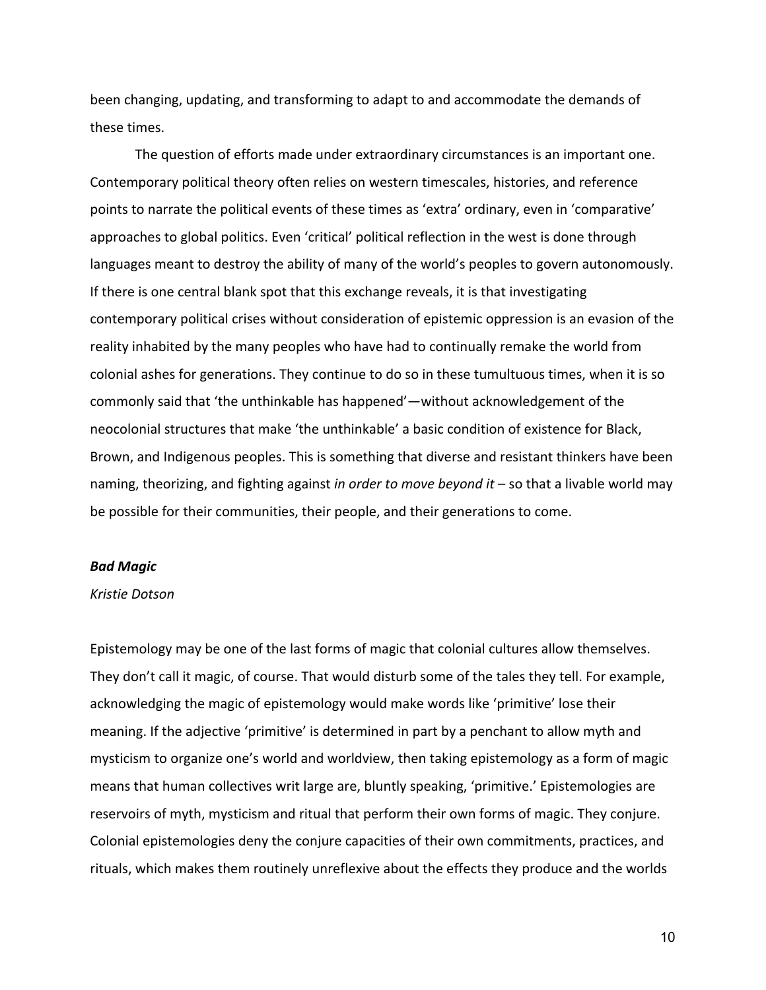been changing, updating, and transforming to adapt to and accommodate the demands of these times.

The question of efforts made under extraordinary circumstances is an important one. Contemporary political theory often relies on western timescales, histories, and reference points to narrate the political events of these times as 'extra' ordinary, even in 'comparative' approaches to global politics. Even 'critical' political reflection in the west is done through languages meant to destroy the ability of many of the world's peoples to govern autonomously. If there is one central blank spot that this exchange reveals, it is that investigating contemporary political crises without consideration of epistemic oppression is an evasion of the reality inhabited by the many peoples who have had to continually remake the world from colonial ashes for generations. They continue to do so in these tumultuous times, when it is so commonly said that 'the unthinkable has happened'—without acknowledgement of the neocolonial structures that make 'the unthinkable' a basic condition of existence for Black, Brown, and Indigenous peoples. This is something that diverse and resistant thinkers have been naming, theorizing, and fighting against *in order to move beyond it* – so that a livable world may be possible for their communities, their people, and their generations to come.

## *Bad Magic*

#### *Kristie Dotson*

Epistemology may be one of the last forms of magic that colonial cultures allow themselves. They don't call it magic, of course. That would disturb some of the tales they tell. For example, acknowledging the magic of epistemology would make words like 'primitive' lose their meaning. If the adjective 'primitive' is determined in part by a penchant to allow myth and mysticism to organize one's world and worldview, then taking epistemology as a form of magic means that human collectives writ large are, bluntly speaking, 'primitive.' Epistemologies are reservoirs of myth, mysticism and ritual that perform their own forms of magic. They conjure. Colonial epistemologies deny the conjure capacities of their own commitments, practices, and rituals, which makes them routinely unreflexive about the effects they produce and the worlds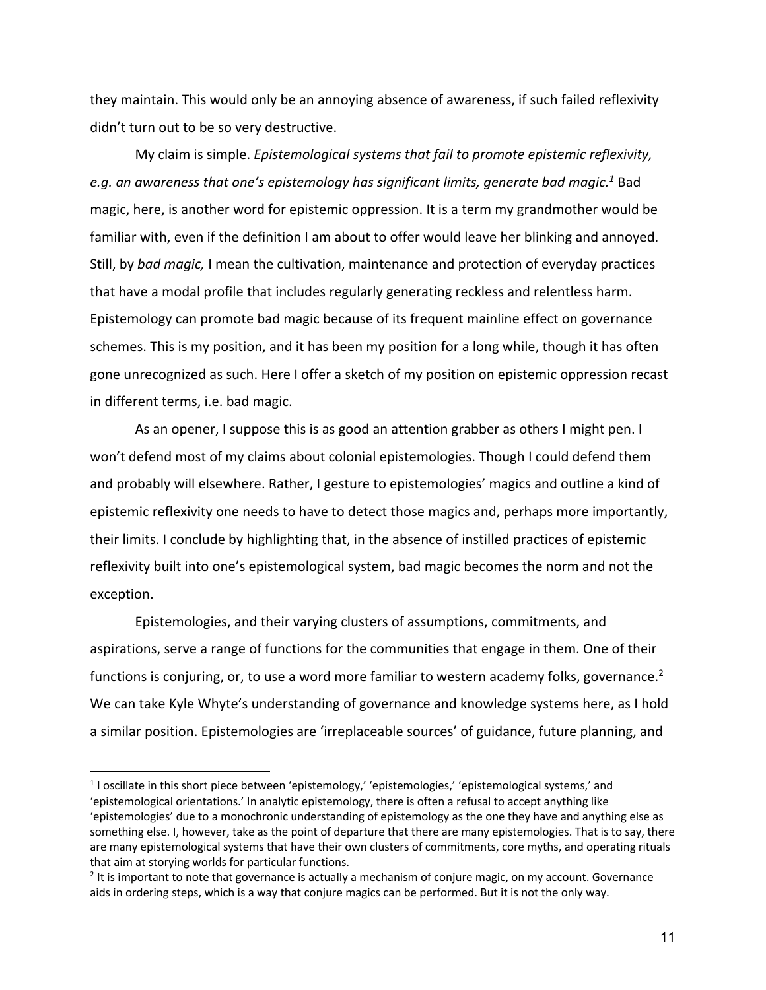they maintain. This would only be an annoying absence of awareness, if such failed reflexivity didn't turn out to be so very destructive.

My claim is simple. *Epistemological systems that fail to promote epistemic reflexivity, e.g. an awareness that one's epistemology has significant limits, generate bad magic.1* Bad magic, here, is another word for epistemic oppression. It is a term my grandmother would be familiar with, even if the definition I am about to offer would leave her blinking and annoyed. Still, by *bad magic,* I mean the cultivation, maintenance and protection of everyday practices that have a modal profile that includes regularly generating reckless and relentless harm. Epistemology can promote bad magic because of its frequent mainline effect on governance schemes. This is my position, and it has been my position for a long while, though it has often gone unrecognized as such. Here I offer a sketch of my position on epistemic oppression recast in different terms, i.e. bad magic.

As an opener, I suppose this is as good an attention grabber as others I might pen. I won't defend most of my claims about colonial epistemologies. Though I could defend them and probably will elsewhere. Rather, I gesture to epistemologies' magics and outline a kind of epistemic reflexivity one needs to have to detect those magics and, perhaps more importantly, their limits. I conclude by highlighting that, in the absence of instilled practices of epistemic reflexivity built into one's epistemological system, bad magic becomes the norm and not the exception.

Epistemologies, and their varying clusters of assumptions, commitments, and aspirations, serve a range of functions for the communities that engage in them. One of their functions is conjuring, or, to use a word more familiar to western academy folks, governance.<sup>2</sup> We can take Kyle Whyte's understanding of governance and knowledge systems here, as I hold a similar position. Epistemologies are 'irreplaceable sources' of guidance, future planning, and

<sup>1</sup> I oscillate in this short piece between 'epistemology,' 'epistemologies,' 'epistemological systems,' and 'epistemological orientations.' In analytic epistemology, there is often a refusal to accept anything like 'epistemologies' due to a monochronic understanding of epistemology as the one they have and anything else as something else. I, however, take as the point of departure that there are many epistemologies. That is to say, there are many epistemological systems that have their own clusters of commitments, core myths, and operating rituals that aim at storying worlds for particular functions.

<sup>&</sup>lt;sup>2</sup> It is important to note that governance is actually a mechanism of conjure magic, on my account. Governance aids in ordering steps, which is a way that conjure magics can be performed. But it is not the only way.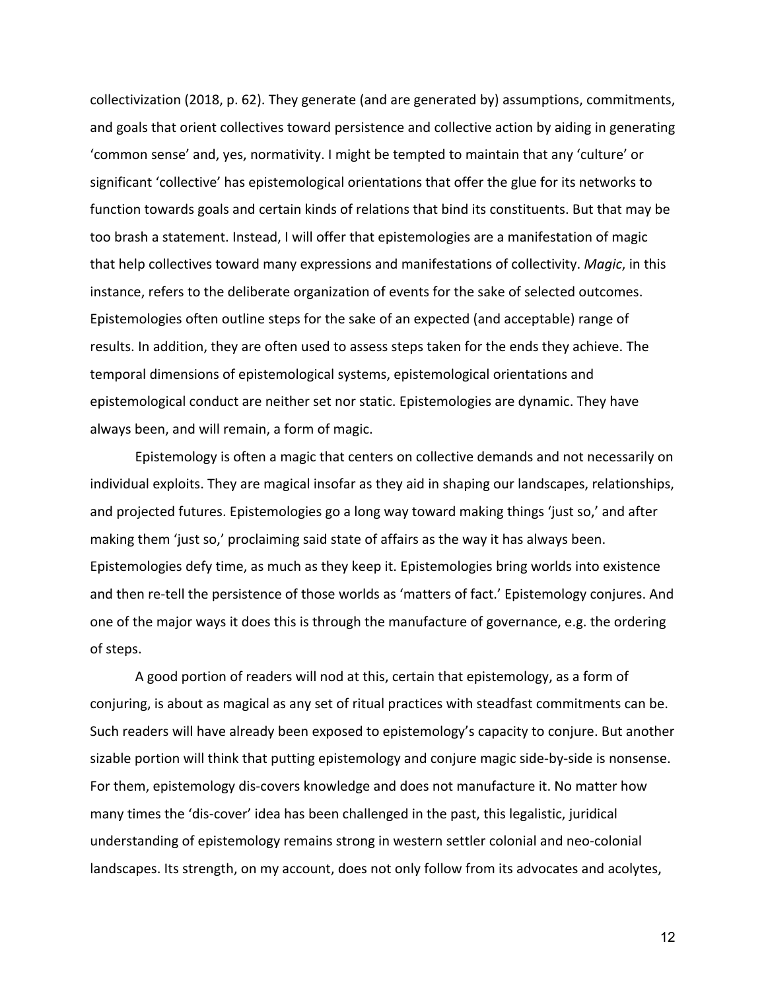collectivization (2018, p. 62). They generate (and are generated by) assumptions, commitments, and goals that orient collectives toward persistence and collective action by aiding in generating 'common sense' and, yes, normativity. I might be tempted to maintain that any 'culture' or significant 'collective' has epistemological orientations that offer the glue for its networks to function towards goals and certain kinds of relations that bind its constituents. But that may be too brash a statement. Instead, I will offer that epistemologies are a manifestation of magic that help collectives toward many expressions and manifestations of collectivity. *Magic*, in this instance, refers to the deliberate organization of events for the sake of selected outcomes. Epistemologies often outline steps for the sake of an expected (and acceptable) range of results. In addition, they are often used to assess steps taken for the ends they achieve. The temporal dimensions of epistemological systems, epistemological orientations and epistemological conduct are neither set nor static. Epistemologies are dynamic. They have always been, and will remain, a form of magic.

Epistemology is often a magic that centers on collective demands and not necessarily on individual exploits. They are magical insofar as they aid in shaping our landscapes, relationships, and projected futures. Epistemologies go a long way toward making things 'just so,' and after making them 'just so,' proclaiming said state of affairs as the way it has always been. Epistemologies defy time, as much as they keep it. Epistemologies bring worlds into existence and then re-tell the persistence of those worlds as 'matters of fact.' Epistemology conjures. And one of the major ways it does this is through the manufacture of governance, e.g. the ordering of steps.

A good portion of readers will nod at this, certain that epistemology, as a form of conjuring, is about as magical as any set of ritual practices with steadfast commitments can be. Such readers will have already been exposed to epistemology's capacity to conjure. But another sizable portion will think that putting epistemology and conjure magic side-by-side is nonsense. For them, epistemology dis-covers knowledge and does not manufacture it. No matter how many times the 'dis-cover' idea has been challenged in the past, this legalistic, juridical understanding of epistemology remains strong in western settler colonial and neo-colonial landscapes. Its strength, on my account, does not only follow from its advocates and acolytes,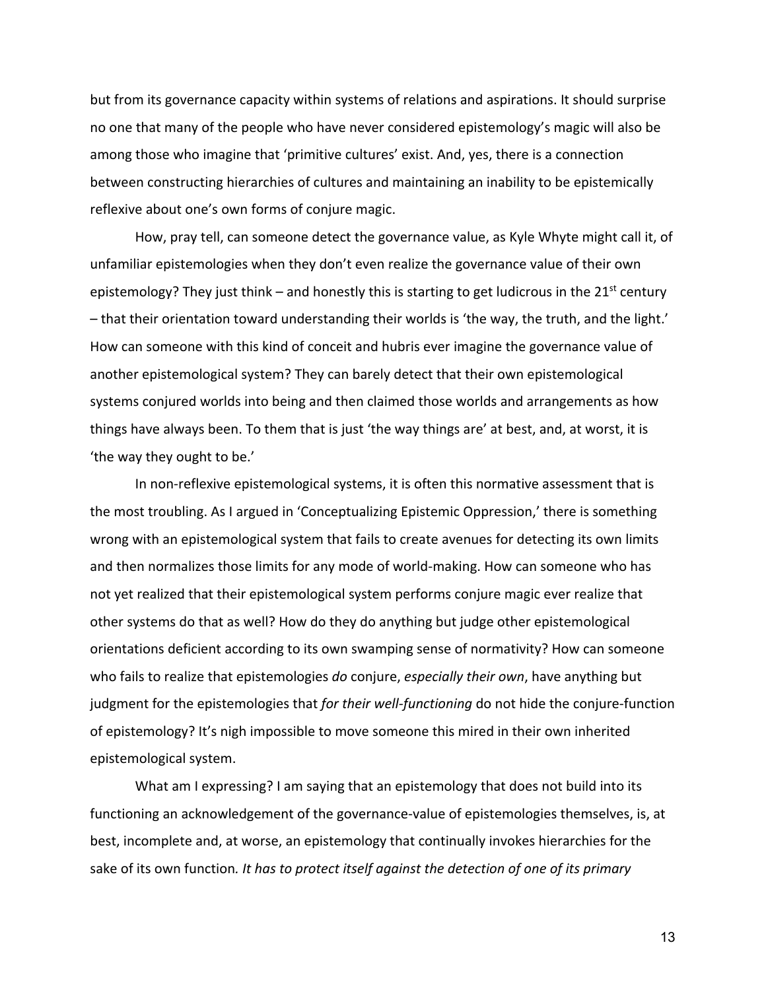but from its governance capacity within systems of relations and aspirations. It should surprise no one that many of the people who have never considered epistemology's magic will also be among those who imagine that 'primitive cultures' exist. And, yes, there is a connection between constructing hierarchies of cultures and maintaining an inability to be epistemically reflexive about one's own forms of conjure magic.

How, pray tell, can someone detect the governance value, as Kyle Whyte might call it, of unfamiliar epistemologies when they don't even realize the governance value of their own epistemology? They just think – and honestly this is starting to get ludicrous in the  $21<sup>st</sup>$  century – that their orientation toward understanding their worlds is 'the way, the truth, and the light.' How can someone with this kind of conceit and hubris ever imagine the governance value of another epistemological system? They can barely detect that their own epistemological systems conjured worlds into being and then claimed those worlds and arrangements as how things have always been. To them that is just 'the way things are' at best, and, at worst, it is 'the way they ought to be.'

In non-reflexive epistemological systems, it is often this normative assessment that is the most troubling. As I argued in 'Conceptualizing Epistemic Oppression,' there is something wrong with an epistemological system that fails to create avenues for detecting its own limits and then normalizes those limits for any mode of world-making. How can someone who has not yet realized that their epistemological system performs conjure magic ever realize that other systems do that as well? How do they do anything but judge other epistemological orientations deficient according to its own swamping sense of normativity? How can someone who fails to realize that epistemologies *do* conjure, *especially their own*, have anything but judgment for the epistemologies that *for their well-functioning* do not hide the conjure-function of epistemology? It's nigh impossible to move someone this mired in their own inherited epistemological system.

What am I expressing? I am saying that an epistemology that does not build into its functioning an acknowledgement of the governance-value of epistemologies themselves, is, at best, incomplete and, at worse, an epistemology that continually invokes hierarchies for the sake of its own function*. It has to protect itself against the detection of one of its primary*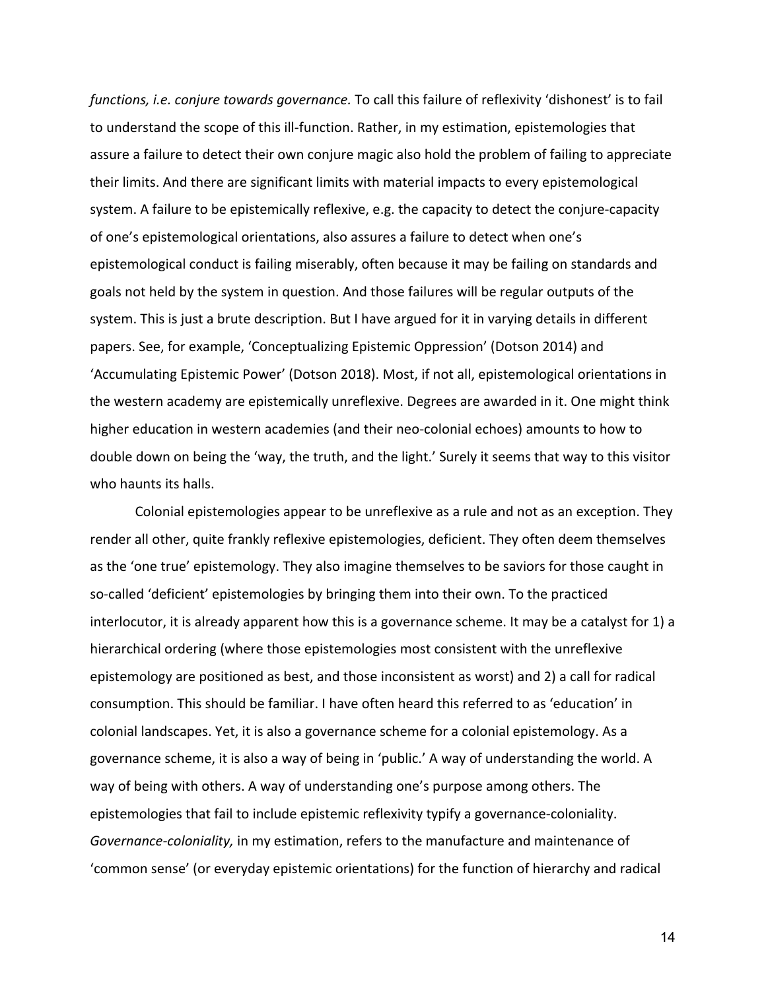*functions, i.e. conjure towards governance.* To call this failure of reflexivity 'dishonest' is to fail to understand the scope of this ill-function. Rather, in my estimation, epistemologies that assure a failure to detect their own conjure magic also hold the problem of failing to appreciate their limits. And there are significant limits with material impacts to every epistemological system. A failure to be epistemically reflexive, e.g. the capacity to detect the conjure-capacity of one's epistemological orientations, also assures a failure to detect when one's epistemological conduct is failing miserably, often because it may be failing on standards and goals not held by the system in question. And those failures will be regular outputs of the system. This is just a brute description. But I have argued for it in varying details in different papers. See, for example, 'Conceptualizing Epistemic Oppression' (Dotson 2014) and 'Accumulating Epistemic Power' (Dotson 2018). Most, if not all, epistemological orientations in the western academy are epistemically unreflexive. Degrees are awarded in it. One might think higher education in western academies (and their neo-colonial echoes) amounts to how to double down on being the 'way, the truth, and the light.' Surely it seems that way to this visitor who haunts its halls.

Colonial epistemologies appear to be unreflexive as a rule and not as an exception. They render all other, quite frankly reflexive epistemologies, deficient. They often deem themselves as the 'one true' epistemology. They also imagine themselves to be saviors for those caught in so-called 'deficient' epistemologies by bringing them into their own. To the practiced interlocutor, it is already apparent how this is a governance scheme. It may be a catalyst for 1) a hierarchical ordering (where those epistemologies most consistent with the unreflexive epistemology are positioned as best, and those inconsistent as worst) and 2) a call for radical consumption. This should be familiar. I have often heard this referred to as 'education' in colonial landscapes. Yet, it is also a governance scheme for a colonial epistemology. As a governance scheme, it is also a way of being in 'public.' A way of understanding the world. A way of being with others. A way of understanding one's purpose among others. The epistemologies that fail to include epistemic reflexivity typify a governance-coloniality. *Governance-coloniality,* in my estimation, refers to the manufacture and maintenance of 'common sense' (or everyday epistemic orientations) for the function of hierarchy and radical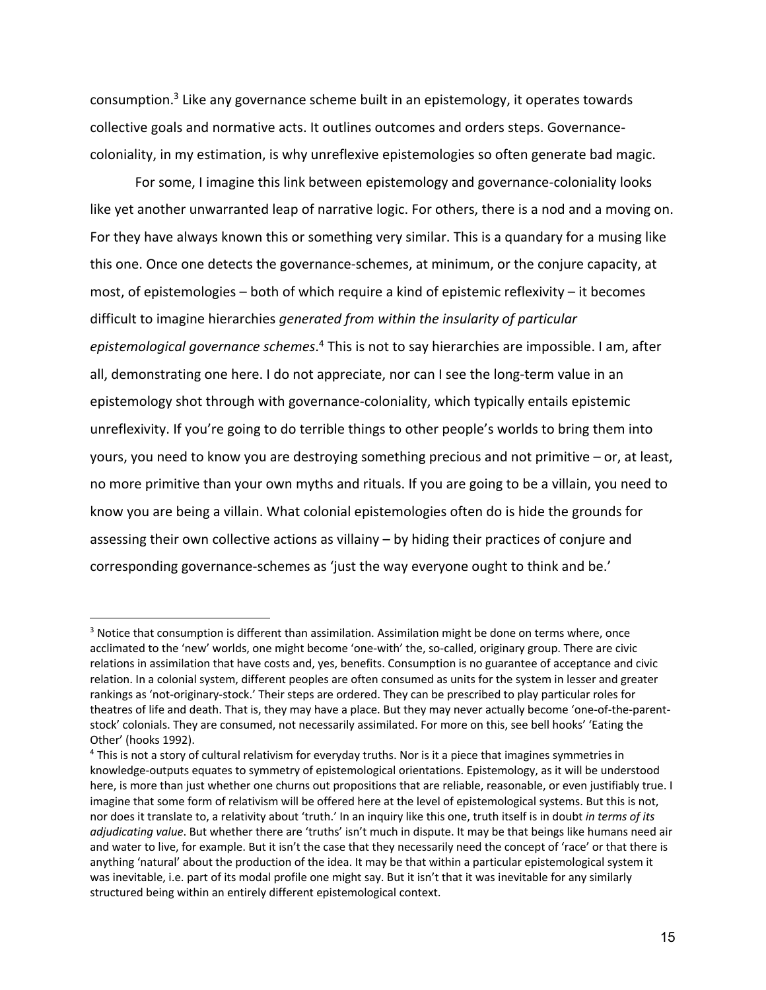consumption.<sup>3</sup> Like any governance scheme built in an epistemology, it operates towards collective goals and normative acts. It outlines outcomes and orders steps. Governancecoloniality, in my estimation, is why unreflexive epistemologies so often generate bad magic.

For some, I imagine this link between epistemology and governance-coloniality looks like yet another unwarranted leap of narrative logic. For others, there is a nod and a moving on. For they have always known this or something very similar. This is a quandary for a musing like this one. Once one detects the governance-schemes, at minimum, or the conjure capacity, at most, of epistemologies – both of which require a kind of epistemic reflexivity – it becomes difficult to imagine hierarchies *generated from within the insularity of particular epistemological governance schemes*. <sup>4</sup> This is not to say hierarchies are impossible. I am, after all, demonstrating one here. I do not appreciate, nor can I see the long-term value in an epistemology shot through with governance-coloniality, which typically entails epistemic unreflexivity. If you're going to do terrible things to other people's worlds to bring them into yours, you need to know you are destroying something precious and not primitive – or, at least, no more primitive than your own myths and rituals. If you are going to be a villain, you need to know you are being a villain. What colonial epistemologies often do is hide the grounds for assessing their own collective actions as villainy – by hiding their practices of conjure and corresponding governance-schemes as 'just the way everyone ought to think and be.'

<sup>&</sup>lt;sup>3</sup> Notice that consumption is different than assimilation. Assimilation might be done on terms where, once acclimated to the 'new' worlds, one might become 'one-with' the, so-called, originary group. There are civic relations in assimilation that have costs and, yes, benefits. Consumption is no guarantee of acceptance and civic relation. In a colonial system, different peoples are often consumed as units for the system in lesser and greater rankings as 'not-originary-stock.' Their steps are ordered. They can be prescribed to play particular roles for theatres of life and death. That is, they may have a place. But they may never actually become 'one-of-the-parentstock' colonials. They are consumed, not necessarily assimilated. For more on this, see bell hooks' 'Eating the Other' (hooks 1992).

<sup>4</sup> This is not a story of cultural relativism for everyday truths. Nor is it a piece that imagines symmetries in knowledge-outputs equates to symmetry of epistemological orientations. Epistemology, as it will be understood here, is more than just whether one churns out propositions that are reliable, reasonable, or even justifiably true. I imagine that some form of relativism will be offered here at the level of epistemological systems. But this is not, nor does it translate to, a relativity about 'truth.' In an inquiry like this one, truth itself is in doubt *in terms of its adjudicating value*. But whether there are 'truths' isn't much in dispute. It may be that beings like humans need air and water to live, for example. But it isn't the case that they necessarily need the concept of 'race' or that there is anything 'natural' about the production of the idea. It may be that within a particular epistemological system it was inevitable, i.e. part of its modal profile one might say. But it isn't that it was inevitable for any similarly structured being within an entirely different epistemological context.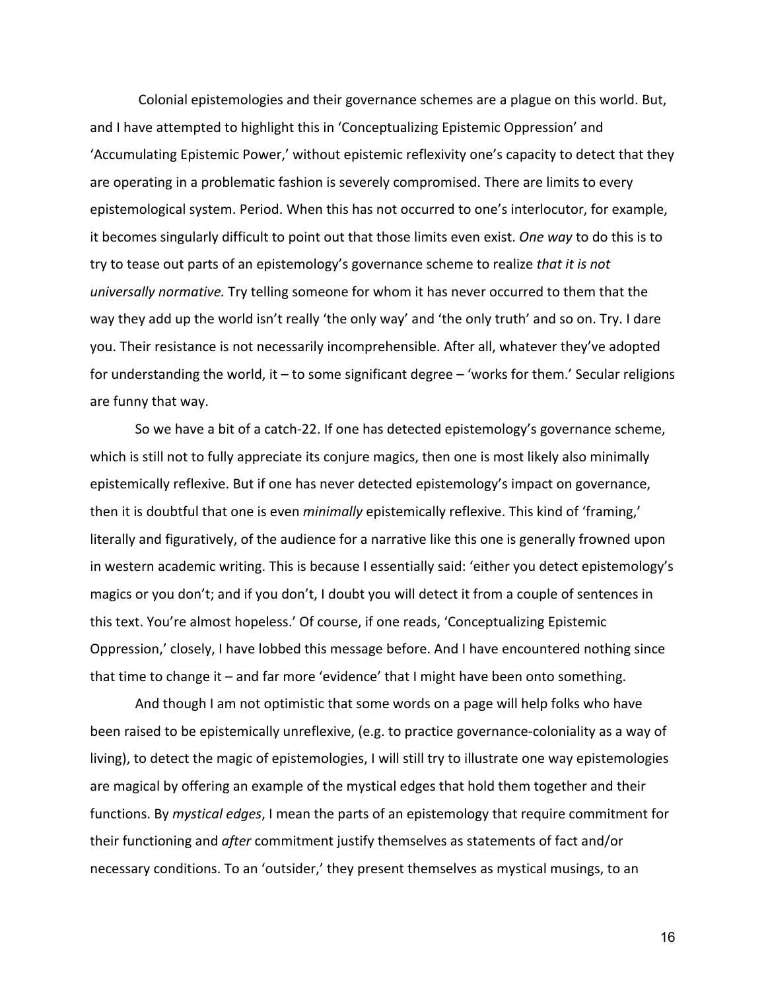Colonial epistemologies and their governance schemes are a plague on this world. But, and I have attempted to highlight this in 'Conceptualizing Epistemic Oppression' and 'Accumulating Epistemic Power,' without epistemic reflexivity one's capacity to detect that they are operating in a problematic fashion is severely compromised. There are limits to every epistemological system. Period. When this has not occurred to one's interlocutor, for example, it becomes singularly difficult to point out that those limits even exist. *One way* to do this is to try to tease out parts of an epistemology's governance scheme to realize *that it is not universally normative.* Try telling someone for whom it has never occurred to them that the way they add up the world isn't really 'the only way' and 'the only truth' and so on. Try. I dare you. Their resistance is not necessarily incomprehensible. After all, whatever they've adopted for understanding the world, it – to some significant degree – 'works for them.' Secular religions are funny that way.

So we have a bit of a catch-22. If one has detected epistemology's governance scheme, which is still not to fully appreciate its conjure magics, then one is most likely also minimally epistemically reflexive. But if one has never detected epistemology's impact on governance, then it is doubtful that one is even *minimally* epistemically reflexive. This kind of 'framing,' literally and figuratively, of the audience for a narrative like this one is generally frowned upon in western academic writing. This is because I essentially said: 'either you detect epistemology's magics or you don't; and if you don't, I doubt you will detect it from a couple of sentences in this text. You're almost hopeless.' Of course, if one reads, 'Conceptualizing Epistemic Oppression,' closely, I have lobbed this message before. And I have encountered nothing since that time to change it – and far more 'evidence' that I might have been onto something.

And though I am not optimistic that some words on a page will help folks who have been raised to be epistemically unreflexive, (e.g. to practice governance-coloniality as a way of living), to detect the magic of epistemologies, I will still try to illustrate one way epistemologies are magical by offering an example of the mystical edges that hold them together and their functions. By *mystical edges*, I mean the parts of an epistemology that require commitment for their functioning and *after* commitment justify themselves as statements of fact and/or necessary conditions. To an 'outsider,' they present themselves as mystical musings, to an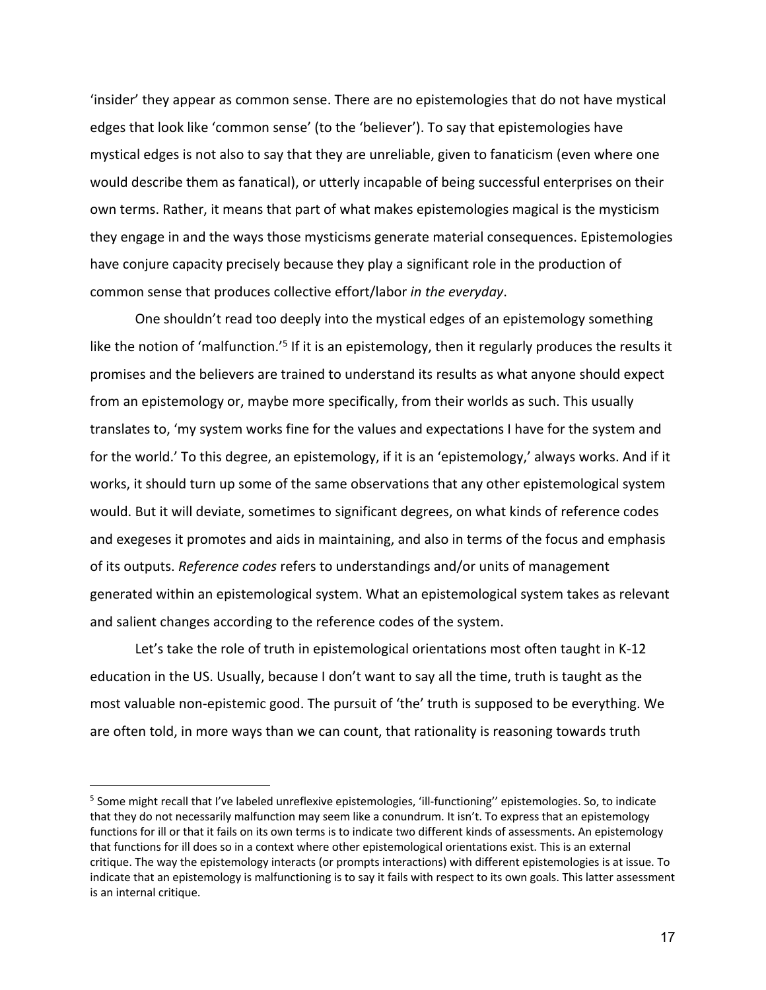'insider' they appear as common sense. There are no epistemologies that do not have mystical edges that look like 'common sense' (to the 'believer'). To say that epistemologies have mystical edges is not also to say that they are unreliable, given to fanaticism (even where one would describe them as fanatical), or utterly incapable of being successful enterprises on their own terms. Rather, it means that part of what makes epistemologies magical is the mysticism they engage in and the ways those mysticisms generate material consequences. Epistemologies have conjure capacity precisely because they play a significant role in the production of common sense that produces collective effort/labor *in the everyday*.

One shouldn't read too deeply into the mystical edges of an epistemology something like the notion of 'malfunction.'<sup>5</sup> If it is an epistemology, then it regularly produces the results it promises and the believers are trained to understand its results as what anyone should expect from an epistemology or, maybe more specifically, from their worlds as such. This usually translates to, 'my system works fine for the values and expectations I have for the system and for the world.' To this degree, an epistemology, if it is an 'epistemology,' always works. And if it works, it should turn up some of the same observations that any other epistemological system would. But it will deviate, sometimes to significant degrees, on what kinds of reference codes and exegeses it promotes and aids in maintaining, and also in terms of the focus and emphasis of its outputs. *Reference codes* refers to understandings and/or units of management generated within an epistemological system. What an epistemological system takes as relevant and salient changes according to the reference codes of the system.

Let's take the role of truth in epistemological orientations most often taught in K-12 education in the US. Usually, because I don't want to say all the time, truth is taught as the most valuable non-epistemic good. The pursuit of 'the' truth is supposed to be everything. We are often told, in more ways than we can count, that rationality is reasoning towards truth

<sup>&</sup>lt;sup>5</sup> Some might recall that I've labeled unreflexive epistemologies, 'ill-functioning'' epistemologies. So, to indicate that they do not necessarily malfunction may seem like a conundrum. It isn't. To express that an epistemology functions for ill or that it fails on its own terms is to indicate two different kinds of assessments. An epistemology that functions for ill does so in a context where other epistemological orientations exist. This is an external critique. The way the epistemology interacts (or prompts interactions) with different epistemologies is at issue. To indicate that an epistemology is malfunctioning is to say it fails with respect to its own goals. This latter assessment is an internal critique.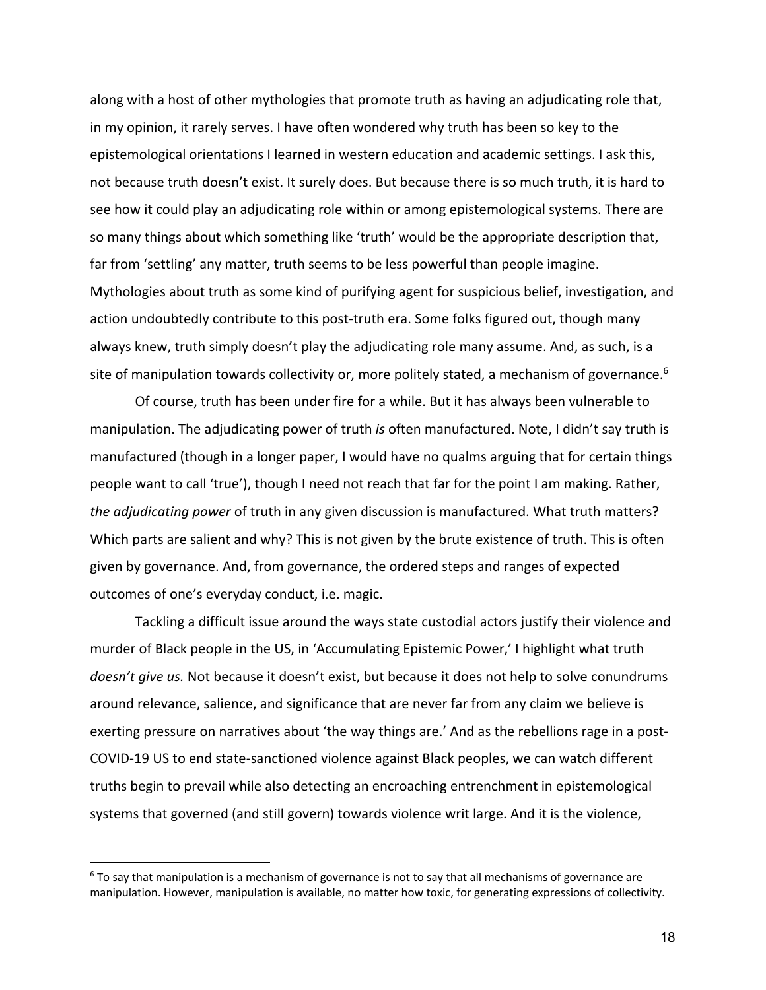along with a host of other mythologies that promote truth as having an adjudicating role that, in my opinion, it rarely serves. I have often wondered why truth has been so key to the epistemological orientations I learned in western education and academic settings. I ask this, not because truth doesn't exist. It surely does. But because there is so much truth, it is hard to see how it could play an adjudicating role within or among epistemological systems. There are so many things about which something like 'truth' would be the appropriate description that, far from 'settling' any matter, truth seems to be less powerful than people imagine. Mythologies about truth as some kind of purifying agent for suspicious belief, investigation, and action undoubtedly contribute to this post-truth era. Some folks figured out, though many always knew, truth simply doesn't play the adjudicating role many assume. And, as such, is a site of manipulation towards collectivity or, more politely stated, a mechanism of governance.<sup>6</sup>

Of course, truth has been under fire for a while. But it has always been vulnerable to manipulation. The adjudicating power of truth *is* often manufactured. Note, I didn't say truth is manufactured (though in a longer paper, I would have no qualms arguing that for certain things people want to call 'true'), though I need not reach that far for the point I am making. Rather, *the adjudicating power* of truth in any given discussion is manufactured. What truth matters? Which parts are salient and why? This is not given by the brute existence of truth. This is often given by governance. And, from governance, the ordered steps and ranges of expected outcomes of one's everyday conduct, i.e. magic.

Tackling a difficult issue around the ways state custodial actors justify their violence and murder of Black people in the US, in 'Accumulating Epistemic Power,' I highlight what truth *doesn't give us.* Not because it doesn't exist, but because it does not help to solve conundrums around relevance, salience, and significance that are never far from any claim we believe is exerting pressure on narratives about 'the way things are.' And as the rebellions rage in a post-COVID-19 US to end state-sanctioned violence against Black peoples, we can watch different truths begin to prevail while also detecting an encroaching entrenchment in epistemological systems that governed (and still govern) towards violence writ large. And it is the violence,

 $6$  To say that manipulation is a mechanism of governance is not to say that all mechanisms of governance are manipulation. However, manipulation is available, no matter how toxic, for generating expressions of collectivity.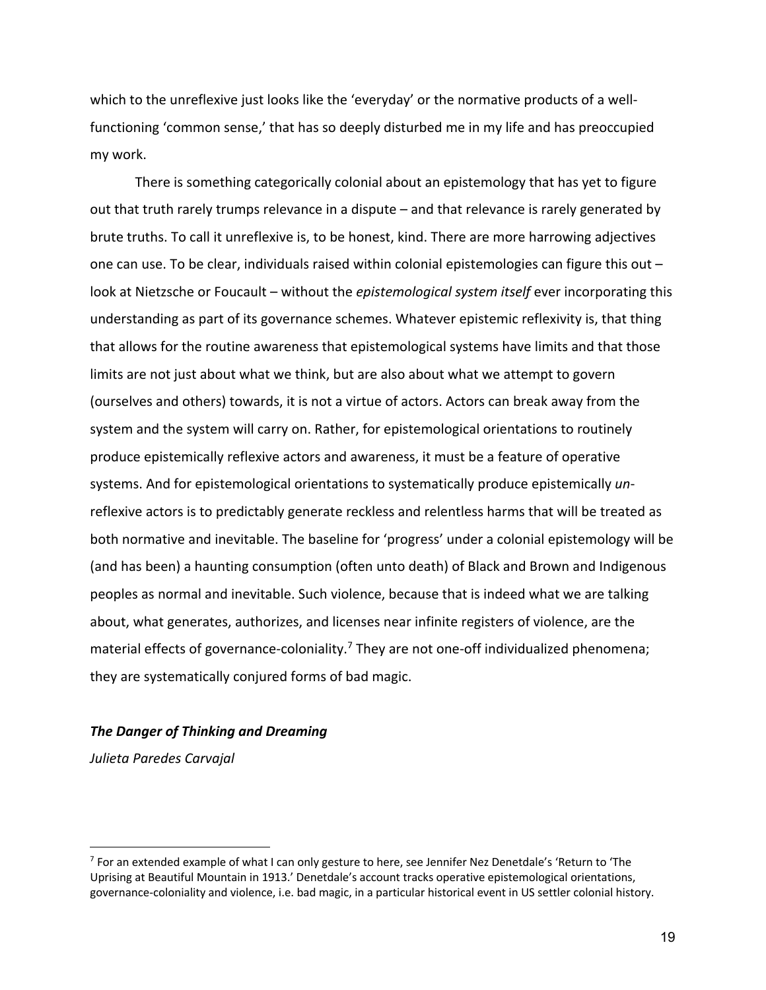which to the unreflexive just looks like the 'everyday' or the normative products of a wellfunctioning 'common sense,' that has so deeply disturbed me in my life and has preoccupied my work.

There is something categorically colonial about an epistemology that has yet to figure out that truth rarely trumps relevance in a dispute – and that relevance is rarely generated by brute truths. To call it unreflexive is, to be honest, kind. There are more harrowing adjectives one can use. To be clear, individuals raised within colonial epistemologies can figure this out – look at Nietzsche or Foucault – without the *epistemological system itself* ever incorporating this understanding as part of its governance schemes. Whatever epistemic reflexivity is, that thing that allows for the routine awareness that epistemological systems have limits and that those limits are not just about what we think, but are also about what we attempt to govern (ourselves and others) towards, it is not a virtue of actors. Actors can break away from the system and the system will carry on. Rather, for epistemological orientations to routinely produce epistemically reflexive actors and awareness, it must be a feature of operative systems. And for epistemological orientations to systematically produce epistemically *un*reflexive actors is to predictably generate reckless and relentless harms that will be treated as both normative and inevitable. The baseline for 'progress' under a colonial epistemology will be (and has been) a haunting consumption (often unto death) of Black and Brown and Indigenous peoples as normal and inevitable. Such violence, because that is indeed what we are talking about, what generates, authorizes, and licenses near infinite registers of violence, are the material effects of governance-coloniality.<sup>7</sup> They are not one-off individualized phenomena; they are systematically conjured forms of bad magic.

#### *The Danger of Thinking and Dreaming*

*Julieta Paredes Carvajal*

 $<sup>7</sup>$  For an extended example of what I can only gesture to here, see Jennifer Nez Denetdale's 'Return to 'The</sup> Uprising at Beautiful Mountain in 1913.' Denetdale's account tracks operative epistemological orientations, governance-coloniality and violence, i.e. bad magic, in a particular historical event in US settler colonial history.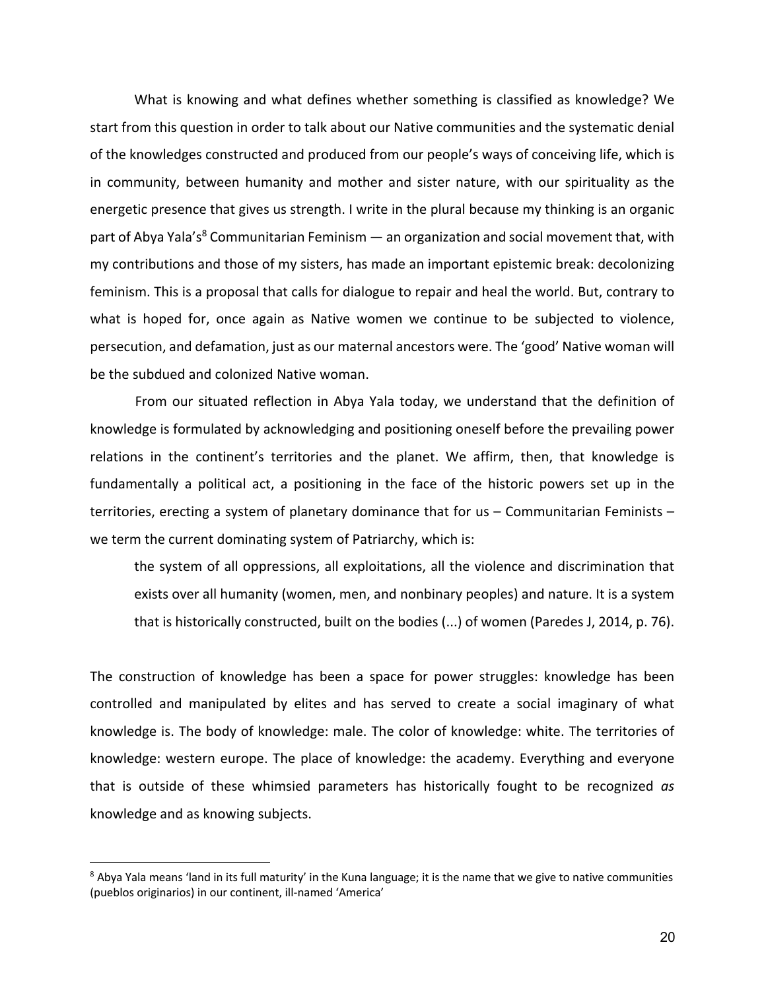What is knowing and what defines whether something is classified as knowledge? We start from this question in order to talk about our Native communities and the systematic denial of the knowledges constructed and produced from our people's ways of conceiving life, which is in community, between humanity and mother and sister nature, with our spirituality as the energetic presence that gives us strength. I write in the plural because my thinking is an organic part of Abya Yala's<sup>8</sup> Communitarian Feminism — an organization and social movement that, with my contributions and those of my sisters, has made an important epistemic break: decolonizing feminism. This is a proposal that calls for dialogue to repair and heal the world. But, contrary to what is hoped for, once again as Native women we continue to be subjected to violence, persecution, and defamation, just as our maternal ancestors were. The 'good' Native woman will be the subdued and colonized Native woman.

From our situated reflection in Abya Yala today, we understand that the definition of knowledge is formulated by acknowledging and positioning oneself before the prevailing power relations in the continent's territories and the planet. We affirm, then, that knowledge is fundamentally a political act, a positioning in the face of the historic powers set up in the territories, erecting a system of planetary dominance that for us – Communitarian Feminists – we term the current dominating system of Patriarchy, which is:

the system of all oppressions, all exploitations, all the violence and discrimination that exists over all humanity (women, men, and nonbinary peoples) and nature. It is a system that is historically constructed, built on the bodies (...) of women (Paredes J, 2014, p. 76).

The construction of knowledge has been a space for power struggles: knowledge has been controlled and manipulated by elites and has served to create a social imaginary of what knowledge is. The body of knowledge: male. The color of knowledge: white. The territories of knowledge: western europe. The place of knowledge: the academy. Everything and everyone that is outside of these whimsied parameters has historically fought to be recognized *as* knowledge and as knowing subjects.

<sup>&</sup>lt;sup>8</sup> Abya Yala means 'land in its full maturity' in the Kuna language; it is the name that we give to native communities (pueblos originarios) in our continent, ill-named 'America'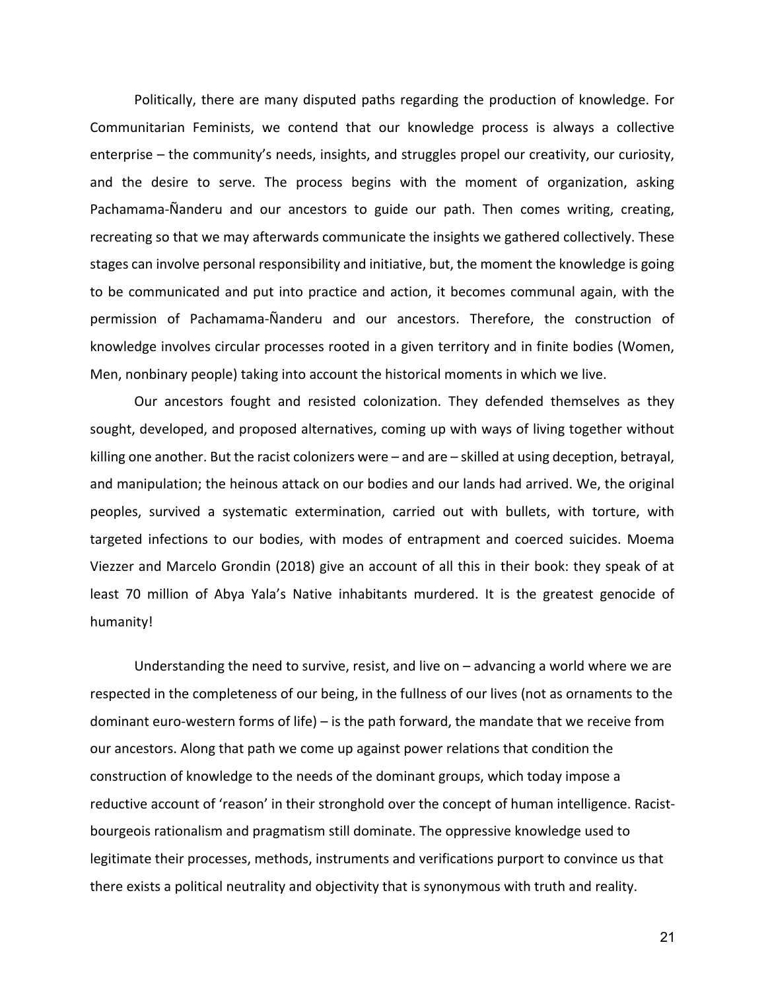Politically, there are many disputed paths regarding the production of knowledge. For Communitarian Feminists, we contend that our knowledge process is always a collective enterprise – the community's needs, insights, and struggles propel our creativity, our curiosity, and the desire to serve. The process begins with the moment of organization, asking Pachamama-Ñanderu and our ancestors to guide our path. Then comes writing, creating, recreating so that we may afterwards communicate the insights we gathered collectively. These stages can involve personal responsibility and initiative, but, the moment the knowledge is going to be communicated and put into practice and action, it becomes communal again, with the permission of Pachamama-Ñanderu and our ancestors. Therefore, the construction of knowledge involves circular processes rooted in a given territory and in finite bodies (Women, Men, nonbinary people) taking into account the historical moments in which we live.

Our ancestors fought and resisted colonization. They defended themselves as they sought, developed, and proposed alternatives, coming up with ways of living together without killing one another. But the racist colonizers were – and are – skilled at using deception, betrayal, and manipulation; the heinous attack on our bodies and our lands had arrived. We, the original peoples, survived a systematic extermination, carried out with bullets, with torture, with targeted infections to our bodies, with modes of entrapment and coerced suicides. Moema Viezzer and Marcelo Grondin (2018) give an account of all this in their book: they speak of at least 70 million of Abya Yala's Native inhabitants murdered. It is the greatest genocide of humanity!

Understanding the need to survive, resist, and live on  $-$  advancing a world where we are respected in the completeness of our being, in the fullness of our lives (not as ornaments to the dominant euro-western forms of life) – is the path forward, the mandate that we receive from our ancestors. Along that path we come up against power relations that condition the construction of knowledge to the needs of the dominant groups, which today impose a reductive account of 'reason' in their stronghold over the concept of human intelligence. Racistbourgeois rationalism and pragmatism still dominate. The oppressive knowledge used to legitimate their processes, methods, instruments and verifications purport to convince us that there exists a political neutrality and objectivity that is synonymous with truth and reality.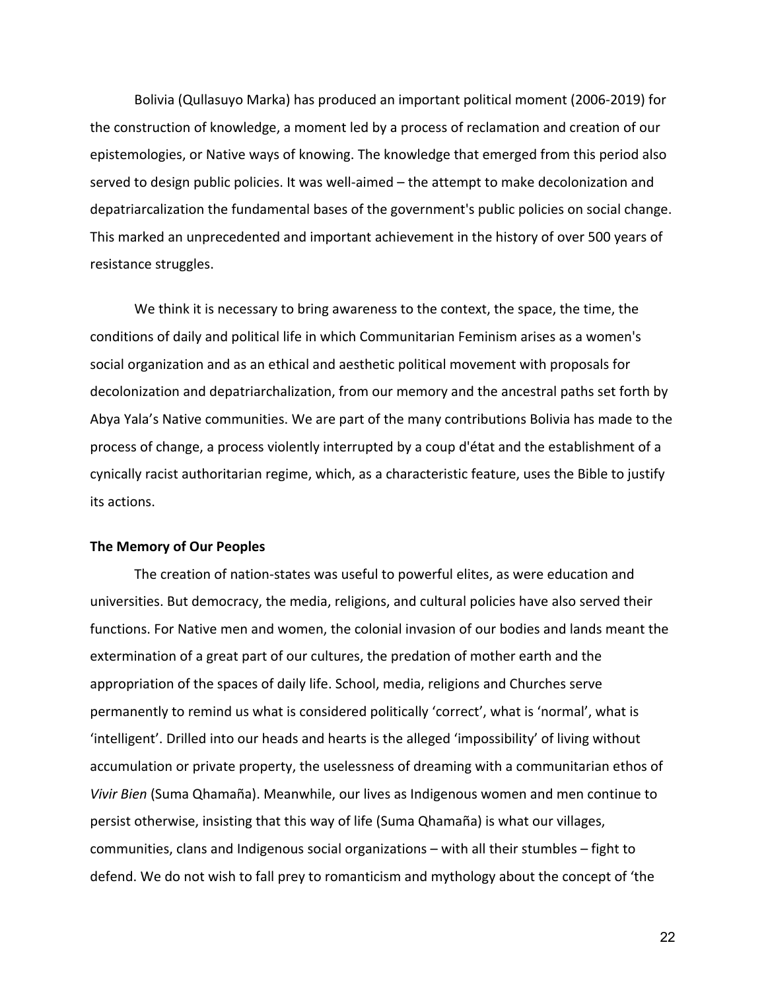Bolivia (Qullasuyo Marka) has produced an important political moment (2006-2019) for the construction of knowledge, a moment led by a process of reclamation and creation of our epistemologies, or Native ways of knowing. The knowledge that emerged from this period also served to design public policies. It was well-aimed – the attempt to make decolonization and depatriarcalization the fundamental bases of the government's public policies on social change. This marked an unprecedented and important achievement in the history of over 500 years of resistance struggles.

We think it is necessary to bring awareness to the context, the space, the time, the conditions of daily and political life in which Communitarian Feminism arises as a women's social organization and as an ethical and aesthetic political movement with proposals for decolonization and depatriarchalization, from our memory and the ancestral paths set forth by Abya Yala's Native communities. We are part of the many contributions Bolivia has made to the process of change, a process violently interrupted by a coup d'état and the establishment of a cynically racist authoritarian regime, which, as a characteristic feature, uses the Bible to justify its actions.

## **The Memory of Our Peoples**

The creation of nation-states was useful to powerful elites, as were education and universities. But democracy, the media, religions, and cultural policies have also served their functions. For Native men and women, the colonial invasion of our bodies and lands meant the extermination of a great part of our cultures, the predation of mother earth and the appropriation of the spaces of daily life. School, media, religions and Churches serve permanently to remind us what is considered politically 'correct', what is 'normal', what is 'intelligent'. Drilled into our heads and hearts is the alleged 'impossibility' of living without accumulation or private property, the uselessness of dreaming with a communitarian ethos of *Vivir Bien* (Suma Qhamaña). Meanwhile, our lives as Indigenous women and men continue to persist otherwise, insisting that this way of life (Suma Qhamaña) is what our villages, communities, clans and Indigenous social organizations – with all their stumbles – fight to defend. We do not wish to fall prey to romanticism and mythology about the concept of 'the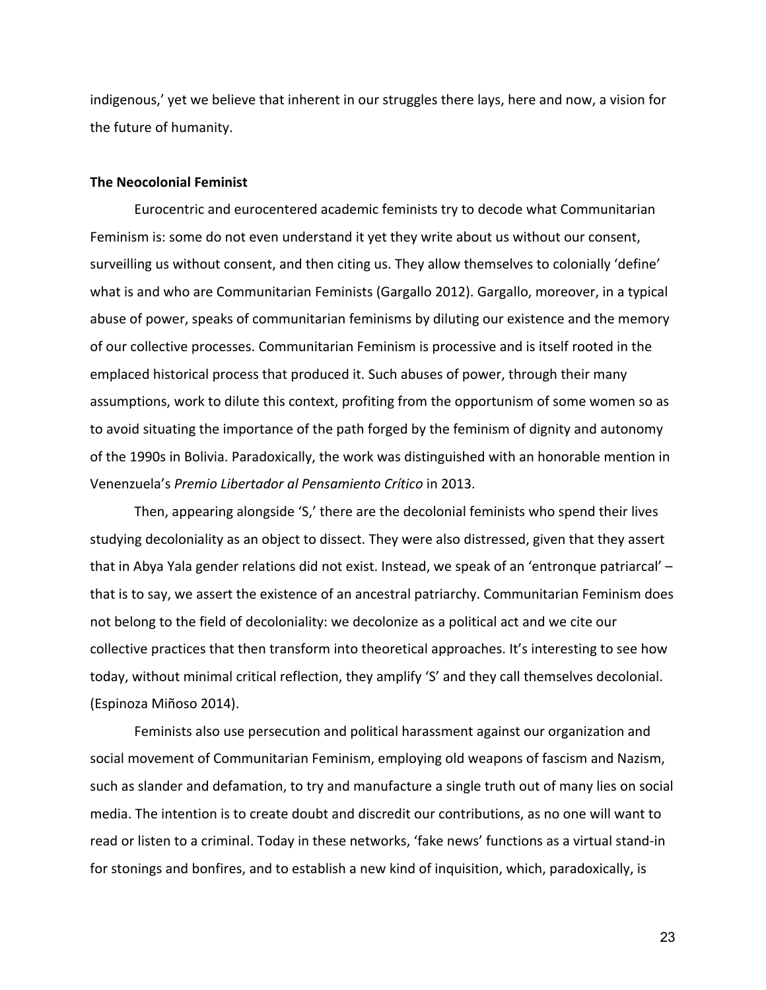indigenous,' yet we believe that inherent in our struggles there lays, here and now, a vision for the future of humanity.

#### **The Neocolonial Feminist**

Eurocentric and eurocentered academic feminists try to decode what Communitarian Feminism is: some do not even understand it yet they write about us without our consent, surveilling us without consent, and then citing us. They allow themselves to colonially 'define' what is and who are Communitarian Feminists (Gargallo 2012). Gargallo, moreover, in a typical abuse of power, speaks of communitarian feminisms by diluting our existence and the memory of our collective processes. Communitarian Feminism is processive and is itself rooted in the emplaced historical process that produced it. Such abuses of power, through their many assumptions, work to dilute this context, profiting from the opportunism of some women so as to avoid situating the importance of the path forged by the feminism of dignity and autonomy of the 1990s in Bolivia. Paradoxically, the work was distinguished with an honorable mention in Venenzuela's *Premio Libertador al Pensamiento Crítico* in 2013.

Then, appearing alongside 'S,' there are the decolonial feminists who spend their lives studying decoloniality as an object to dissect. They were also distressed, given that they assert that in Abya Yala gender relations did not exist. Instead, we speak of an 'entronque patriarcal' – that is to say, we assert the existence of an ancestral patriarchy. Communitarian Feminism does not belong to the field of decoloniality: we decolonize as a political act and we cite our collective practices that then transform into theoretical approaches. It's interesting to see how today, without minimal critical reflection, they amplify 'S' and they call themselves decolonial. (Espinoza Miñoso 2014).

Feminists also use persecution and political harassment against our organization and social movement of Communitarian Feminism, employing old weapons of fascism and Nazism, such as slander and defamation, to try and manufacture a single truth out of many lies on social media. The intention is to create doubt and discredit our contributions, as no one will want to read or listen to a criminal. Today in these networks, 'fake news' functions as a virtual stand-in for stonings and bonfires, and to establish a new kind of inquisition, which, paradoxically, is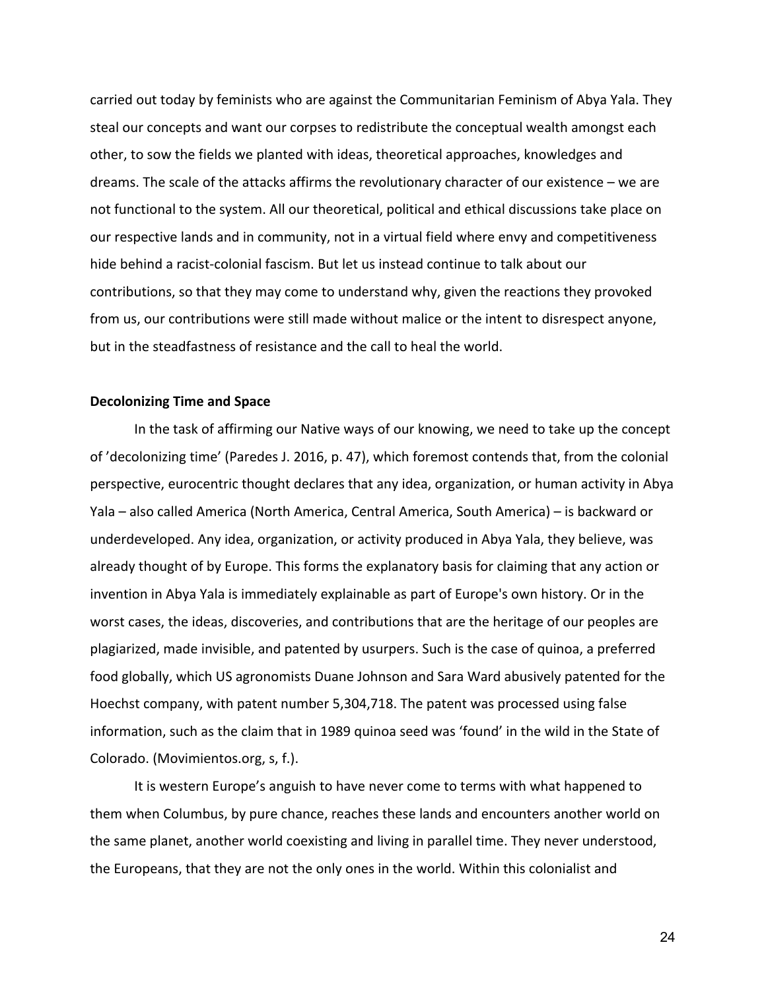carried out today by feminists who are against the Communitarian Feminism of Abya Yala. They steal our concepts and want our corpses to redistribute the conceptual wealth amongst each other, to sow the fields we planted with ideas, theoretical approaches, knowledges and dreams. The scale of the attacks affirms the revolutionary character of our existence – we are not functional to the system. All our theoretical, political and ethical discussions take place on our respective lands and in community, not in a virtual field where envy and competitiveness hide behind a racist-colonial fascism. But let us instead continue to talk about our contributions, so that they may come to understand why, given the reactions they provoked from us, our contributions were still made without malice or the intent to disrespect anyone, but in the steadfastness of resistance and the call to heal the world.

#### **Decolonizing Time and Space**

In the task of affirming our Native ways of our knowing, we need to take up the concept of 'decolonizing time' (Paredes J. 2016, p. 47), which foremost contends that, from the colonial perspective, eurocentric thought declares that any idea, organization, or human activity in Abya Yala – also called America (North America, Central America, South America) – is backward or underdeveloped. Any idea, organization, or activity produced in Abya Yala, they believe, was already thought of by Europe. This forms the explanatory basis for claiming that any action or invention in Abya Yala is immediately explainable as part of Europe's own history. Or in the worst cases, the ideas, discoveries, and contributions that are the heritage of our peoples are plagiarized, made invisible, and patented by usurpers. Such is the case of quinoa, a preferred food globally, which US agronomists Duane Johnson and Sara Ward abusively patented for the Hoechst company, with patent number 5,304,718. The patent was processed using false information, such as the claim that in 1989 quinoa seed was 'found' in the wild in the State of Colorado. (Movimientos.org, s, f.).

It is western Europe's anguish to have never come to terms with what happened to them when Columbus, by pure chance, reaches these lands and encounters another world on the same planet, another world coexisting and living in parallel time. They never understood, the Europeans, that they are not the only ones in the world. Within this colonialist and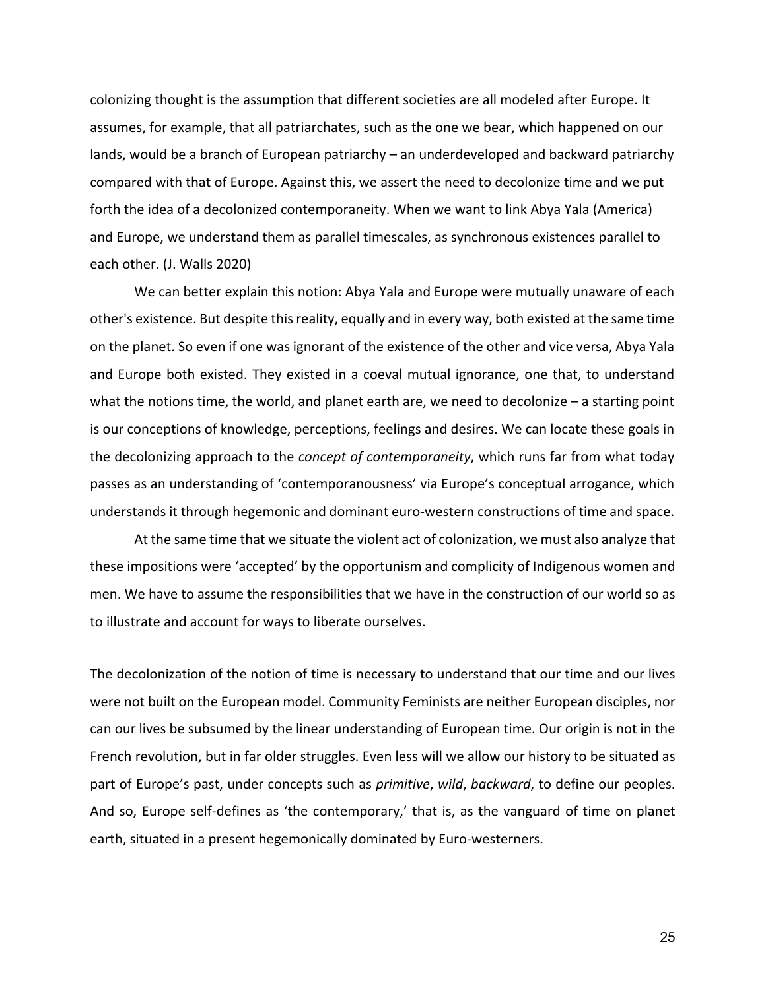colonizing thought is the assumption that different societies are all modeled after Europe. It assumes, for example, that all patriarchates, such as the one we bear, which happened on our lands, would be a branch of European patriarchy – an underdeveloped and backward patriarchy compared with that of Europe. Against this, we assert the need to decolonize time and we put forth the idea of a decolonized contemporaneity. When we want to link Abya Yala (America) and Europe, we understand them as parallel timescales, as synchronous existences parallel to each other. (J. Walls 2020)

We can better explain this notion: Abya Yala and Europe were mutually unaware of each other's existence. But despite this reality, equally and in every way, both existed at the same time on the planet. So even if one was ignorant of the existence of the other and vice versa, Abya Yala and Europe both existed. They existed in a coeval mutual ignorance, one that, to understand what the notions time, the world, and planet earth are, we need to decolonize – a starting point is our conceptions of knowledge, perceptions, feelings and desires. We can locate these goals in the decolonizing approach to the *concept of contemporaneity*, which runs far from what today passes as an understanding of 'contemporanousness' via Europe's conceptual arrogance, which understands it through hegemonic and dominant euro-western constructions of time and space.

At the same time that we situate the violent act of colonization, we must also analyze that these impositions were 'accepted' by the opportunism and complicity of Indigenous women and men. We have to assume the responsibilities that we have in the construction of our world so as to illustrate and account for ways to liberate ourselves.

The decolonization of the notion of time is necessary to understand that our time and our lives were not built on the European model. Community Feminists are neither European disciples, nor can our lives be subsumed by the linear understanding of European time. Our origin is not in the French revolution, but in far older struggles. Even less will we allow our history to be situated as part of Europe's past, under concepts such as *primitive*, *wild*, *backward*, to define our peoples. And so, Europe self-defines as 'the contemporary,' that is, as the vanguard of time on planet earth, situated in a present hegemonically dominated by Euro-westerners.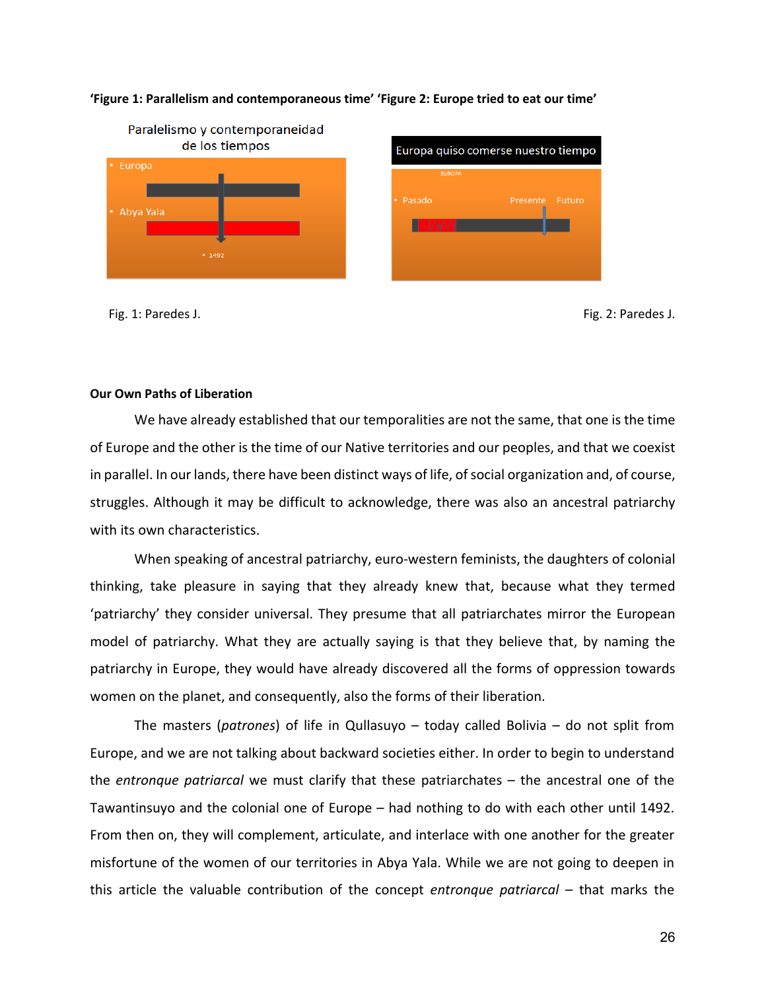

#### **'Figure 1: Parallelism and contemporaneous time' 'Figure 2: Europe tried to eat our time'**

Fig. 1: Paredes J. Fig. 2: Paredes J.

#### **Our Own Paths of Liberation**

We have already established that our temporalities are not the same, that one is the time of Europe and the other is the time of our Native territories and our peoples, and that we coexist in parallel. In our lands, there have been distinct ways of life, of social organization and, of course, struggles. Although it may be difficult to acknowledge, there was also an ancestral patriarchy with its own characteristics.

When speaking of ancestral patriarchy, euro-western feminists, the daughters of colonial thinking, take pleasure in saying that they already knew that, because what they termed 'patriarchy' they consider universal. They presume that all patriarchates mirror the European model of patriarchy. What they are actually saying is that they believe that, by naming the patriarchy in Europe, they would have already discovered all the forms of oppression towards women on the planet, and consequently, also the forms of their liberation.

The masters (*patrones*) of life in Qullasuyo – today called Bolivia – do not split from Europe, and we are not talking about backward societies either. In order to begin to understand the *entronque patriarcal* we must clarify that these patriarchates – the ancestral one of the Tawantinsuyo and the colonial one of Europe – had nothing to do with each other until 1492. From then on, they will complement, articulate, and interlace with one another for the greater misfortune of the women of our territories in Abya Yala. While we are not going to deepen in this article the valuable contribution of the concept *entronque patriarcal* – that marks the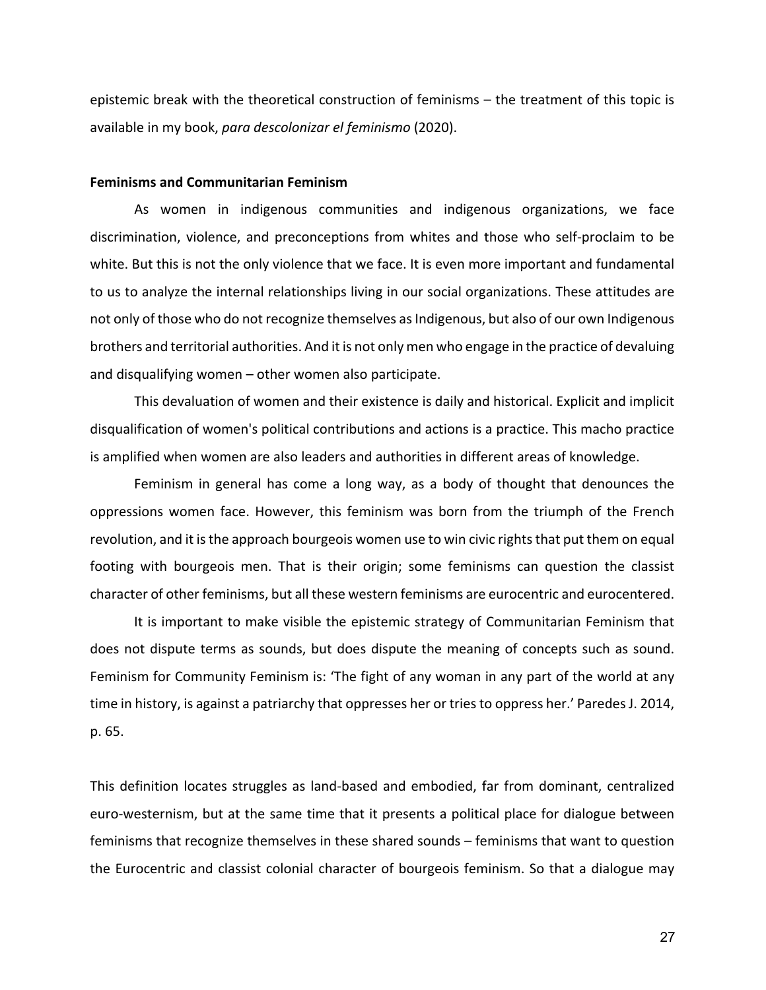epistemic break with the theoretical construction of feminisms – the treatment of this topic is available in my book, *para descolonizar el feminismo* (2020).

#### **Feminisms and Communitarian Feminism**

As women in indigenous communities and indigenous organizations, we face discrimination, violence, and preconceptions from whites and those who self-proclaim to be white. But this is not the only violence that we face. It is even more important and fundamental to us to analyze the internal relationships living in our social organizations. These attitudes are not only of those who do not recognize themselves as Indigenous, but also of our own Indigenous brothers and territorial authorities. And it is not only men who engage in the practice of devaluing and disqualifying women – other women also participate.

This devaluation of women and their existence is daily and historical. Explicit and implicit disqualification of women's political contributions and actions is a practice. This macho practice is amplified when women are also leaders and authorities in different areas of knowledge.

Feminism in general has come a long way, as a body of thought that denounces the oppressions women face. However, this feminism was born from the triumph of the French revolution, and it is the approach bourgeois women use to win civic rights that put them on equal footing with bourgeois men. That is their origin; some feminisms can question the classist character of other feminisms, but all these western feminisms are eurocentric and eurocentered.

It is important to make visible the epistemic strategy of Communitarian Feminism that does not dispute terms as sounds, but does dispute the meaning of concepts such as sound. Feminism for Community Feminism is: 'The fight of any woman in any part of the world at any time in history, is against a patriarchy that oppresses her or tries to oppress her.' Paredes J. 2014, p. 65.

This definition locates struggles as land-based and embodied, far from dominant, centralized euro-westernism, but at the same time that it presents a political place for dialogue between feminisms that recognize themselves in these shared sounds – feminisms that want to question the Eurocentric and classist colonial character of bourgeois feminism. So that a dialogue may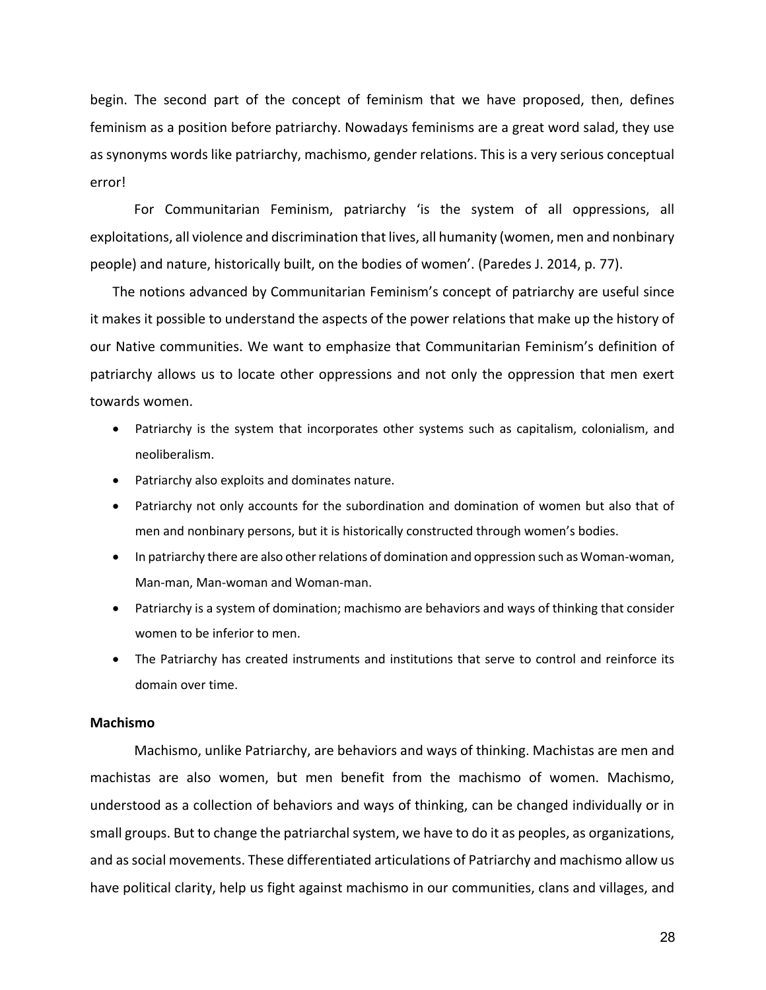begin. The second part of the concept of feminism that we have proposed, then, defines feminism as a position before patriarchy. Nowadays feminisms are a great word salad, they use as synonyms words like patriarchy, machismo, gender relations. This is a very serious conceptual error!

For Communitarian Feminism, patriarchy 'is the system of all oppressions, all exploitations, all violence and discrimination that lives, all humanity (women, men and nonbinary people) and nature, historically built, on the bodies of women'. (Paredes J. 2014, p. 77).

The notions advanced by Communitarian Feminism's concept of patriarchy are useful since it makes it possible to understand the aspects of the power relations that make up the history of our Native communities. We want to emphasize that Communitarian Feminism's definition of patriarchy allows us to locate other oppressions and not only the oppression that men exert towards women.

- Patriarchy is the system that incorporates other systems such as capitalism, colonialism, and neoliberalism.
- Patriarchy also exploits and dominates nature.
- Patriarchy not only accounts for the subordination and domination of women but also that of men and nonbinary persons, but it is historically constructed through women's bodies.
- In patriarchy there are also other relations of domination and oppression such as Woman-woman, Man-man, Man-woman and Woman-man.
- Patriarchy is a system of domination; machismo are behaviors and ways of thinking that consider women to be inferior to men.
- The Patriarchy has created instruments and institutions that serve to control and reinforce its domain over time.

## **Machismo**

Machismo, unlike Patriarchy, are behaviors and ways of thinking. Machistas are men and machistas are also women, but men benefit from the machismo of women. Machismo, understood as a collection of behaviors and ways of thinking, can be changed individually or in small groups. But to change the patriarchal system, we have to do it as peoples, as organizations, and as social movements. These differentiated articulations of Patriarchy and machismo allow us have political clarity, help us fight against machismo in our communities, clans and villages, and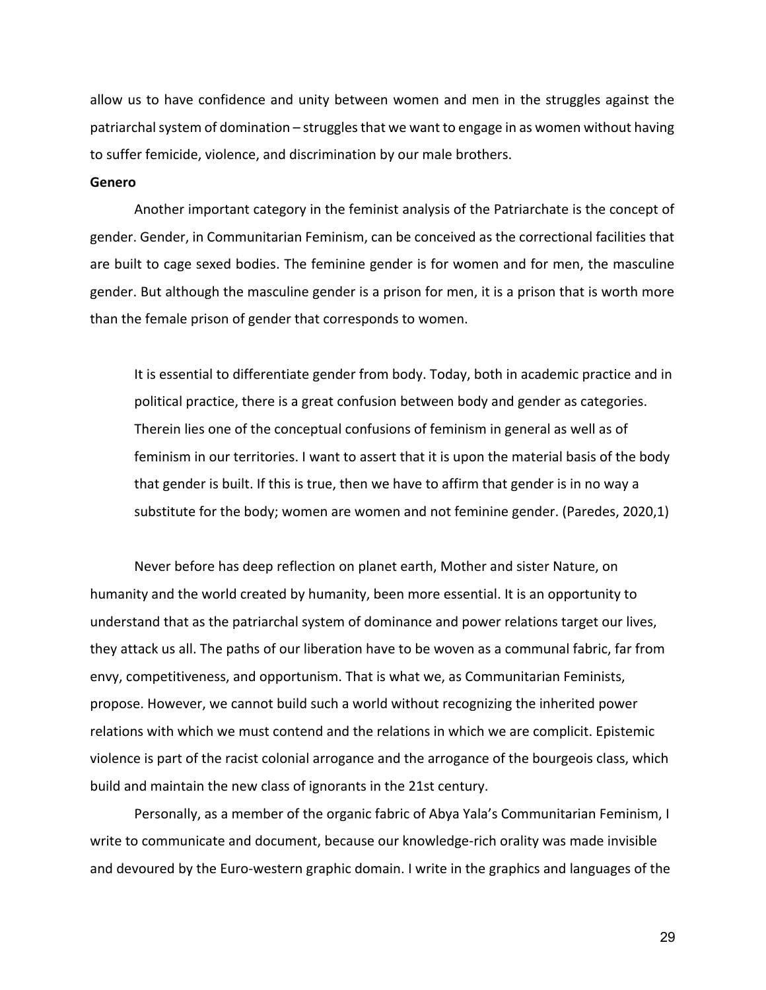allow us to have confidence and unity between women and men in the struggles against the patriarchal system of domination – struggles that we want to engage in as women without having to suffer femicide, violence, and discrimination by our male brothers.

#### **Genero**

Another important category in the feminist analysis of the Patriarchate is the concept of gender. Gender, in Communitarian Feminism, can be conceived as the correctional facilities that are built to cage sexed bodies. The feminine gender is for women and for men, the masculine gender. But although the masculine gender is a prison for men, it is a prison that is worth more than the female prison of gender that corresponds to women.

It is essential to differentiate gender from body. Today, both in academic practice and in political practice, there is a great confusion between body and gender as categories. Therein lies one of the conceptual confusions of feminism in general as well as of feminism in our territories. I want to assert that it is upon the material basis of the body that gender is built. If this is true, then we have to affirm that gender is in no way a substitute for the body; women are women and not feminine gender. (Paredes, 2020,1)

Never before has deep reflection on planet earth, Mother and sister Nature, on humanity and the world created by humanity, been more essential. It is an opportunity to understand that as the patriarchal system of dominance and power relations target our lives, they attack us all. The paths of our liberation have to be woven as a communal fabric, far from envy, competitiveness, and opportunism. That is what we, as Communitarian Feminists, propose. However, we cannot build such a world without recognizing the inherited power relations with which we must contend and the relations in which we are complicit. Epistemic violence is part of the racist colonial arrogance and the arrogance of the bourgeois class, which build and maintain the new class of ignorants in the 21st century.

Personally, as a member of the organic fabric of Abya Yala's Communitarian Feminism, I write to communicate and document, because our knowledge-rich orality was made invisible and devoured by the Euro-western graphic domain. I write in the graphics and languages of the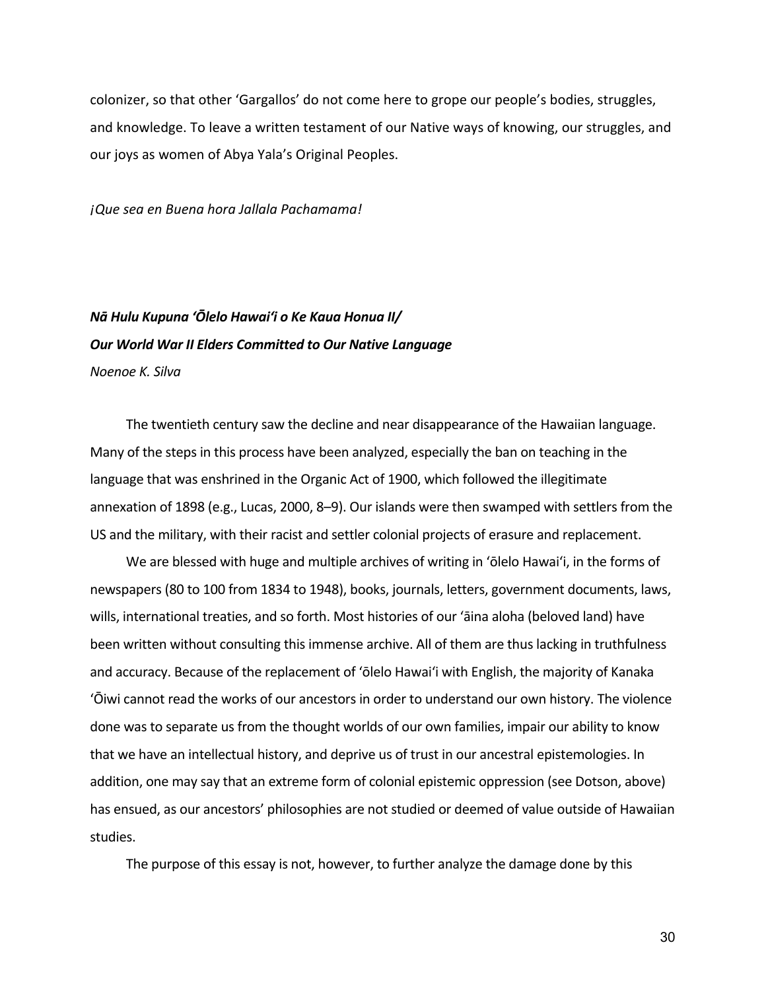colonizer, so that other 'Gargallos' do not come here to grope our people's bodies, struggles, and knowledge. To leave a written testament of our Native ways of knowing, our struggles, and our joys as women of Abya Yala's Original Peoples.

*¡Que sea en Buena hora Jallala Pachamama!*

# *Nā Hulu Kupuna ʻŌlelo Hawaiʻi o Ke Kaua Honua II/ Our World War II Elders Committed to Our Native Language Noenoe K. Silva*

The twentieth century saw the decline and near disappearance of the Hawaiian language. Many of the steps in this process have been analyzed, especially the ban on teaching in the language that was enshrined in the Organic Act of 1900, which followed the illegitimate annexation of 1898 (e.g., Lucas, 2000, 8–9). Our islands were then swamped with settlers from the US and the military, with their racist and settler colonial projects of erasure and replacement.

We are blessed with huge and multiple archives of writing in ʻōlelo Hawaiʻi, in the forms of newspapers (80 to 100 from 1834 to 1948), books, journals, letters, government documents, laws, wills, international treaties, and so forth. Most histories of our ʻāina aloha (beloved land) have been written without consulting this immense archive. All of them are thus lacking in truthfulness and accuracy. Because of the replacement of ʻōlelo Hawaiʻi with English, the majority of Kanaka ʻŌiwi cannot read the works of our ancestors in order to understand our own history. The violence done was to separate us from the thought worlds of our own families, impair our ability to know that we have an intellectual history, and deprive us of trust in our ancestral epistemologies. In addition, one may say that an extreme form of colonial epistemic oppression (see Dotson, above) has ensued, as our ancestors' philosophies are not studied or deemed of value outside of Hawaiian studies.

The purpose of this essay is not, however, to further analyze the damage done by this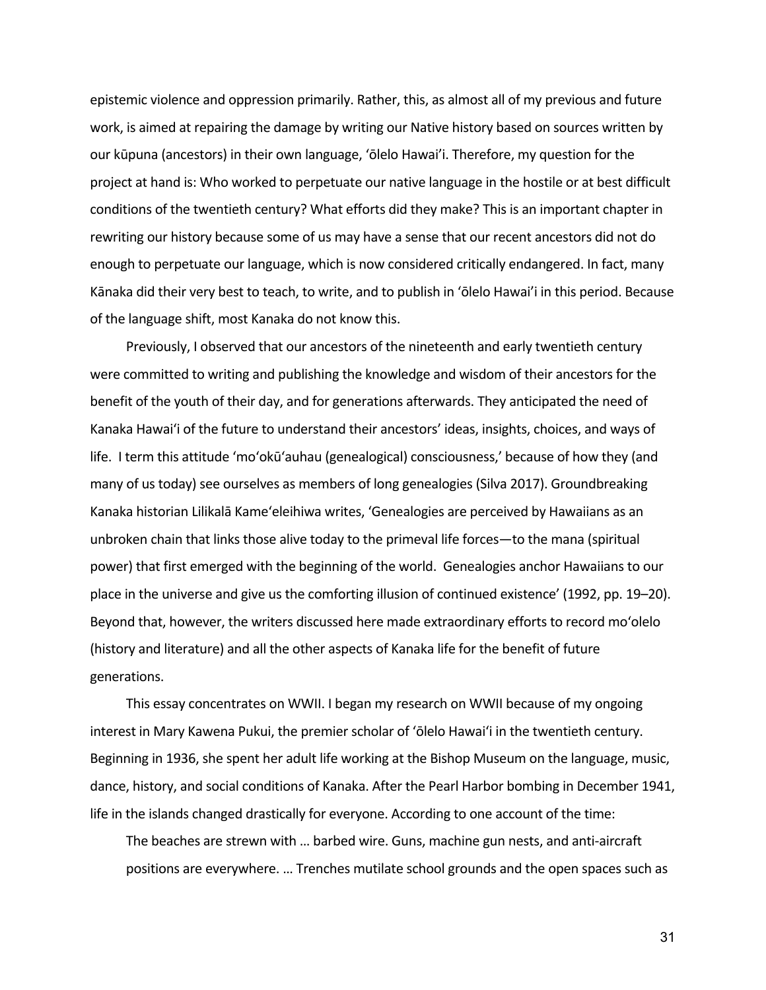epistemic violence and oppression primarily. Rather, this, as almost all of my previous and future work, is aimed at repairing the damage by writing our Native history based on sources written by our kūpuna (ancestors) in their own language, 'ōlelo Hawai'i. Therefore, my question for the project at hand is: Who worked to perpetuate our native language in the hostile or at best difficult conditions of the twentieth century? What efforts did they make? This is an important chapter in rewriting our history because some of us may have a sense that our recent ancestors did not do enough to perpetuate our language, which is now considered critically endangered. In fact, many Kānaka did their very best to teach, to write, and to publish in 'ōlelo Hawai'i in this period. Because of the language shift, most Kanaka do not know this.

Previously, I observed that our ancestors of the nineteenth and early twentieth century were committed to writing and publishing the knowledge and wisdom of their ancestors for the benefit of the youth of their day, and for generations afterwards. They anticipated the need of Kanaka Hawaiʻi of the future to understand their ancestors' ideas, insights, choices, and ways of life. I term this attitude 'moʻokūʻauhau (genealogical) consciousness,' because of how they (and many of us today) see ourselves as members of long genealogies (Silva 2017). Groundbreaking Kanaka historian Lilikalā Kame'eleihiwa writes, 'Genealogies are perceived by Hawaiians as an unbroken chain that links those alive today to the primeval life forces—to the mana (spiritual power) that first emerged with the beginning of the world. Genealogies anchor Hawaiians to our place in the universe and give us the comforting illusion of continued existence' (1992, pp. 19–20). Beyond that, however, the writers discussed here made extraordinary efforts to record mo'olelo (history and literature) and all the other aspects of Kanaka life for the benefit of future generations.

This essay concentrates on WWII. I began my research on WWII because of my ongoing interest in Mary Kawena Pukui, the premier scholar of ʻōlelo Hawaiʻi in the twentieth century. Beginning in 1936, she spent her adult life working at the Bishop Museum on the language, music, dance, history, and social conditions of Kanaka. After the Pearl Harbor bombing in December 1941, life in the islands changed drastically for everyone. According to one account of the time:

The beaches are strewn with … barbed wire. Guns, machine gun nests, and anti-aircraft positions are everywhere. … Trenches mutilate school grounds and the open spaces such as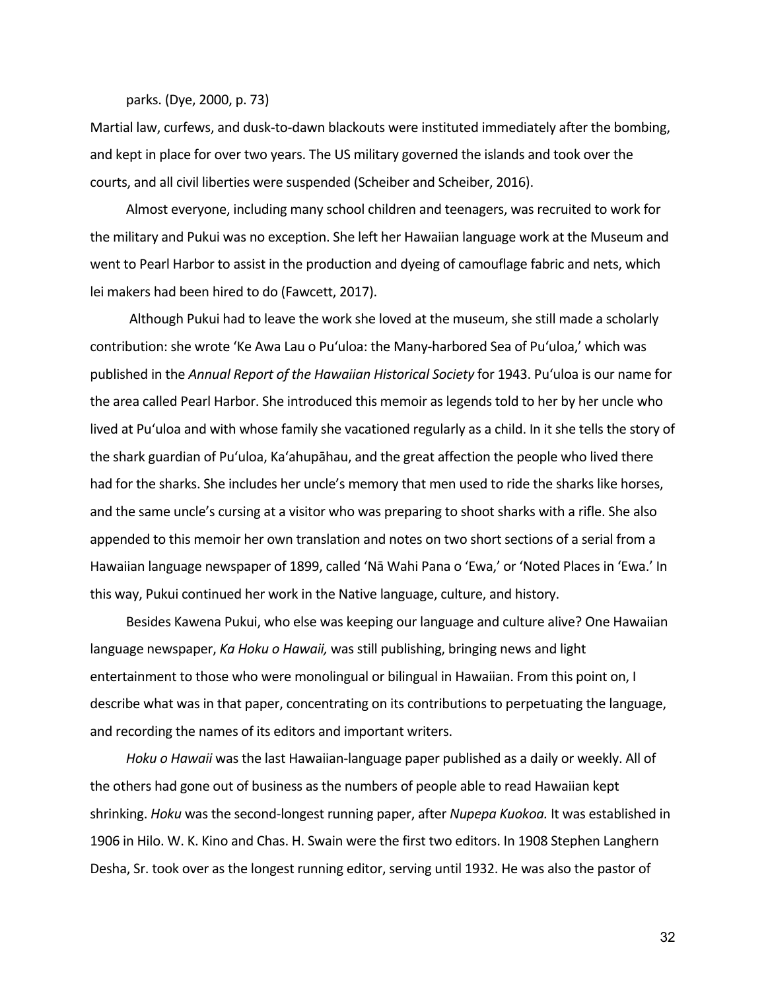parks. (Dye, 2000, p. 73)

Martial law, curfews, and dusk-to-dawn blackouts were instituted immediately after the bombing, and kept in place for over two years. The US military governed the islands and took over the courts, and all civil liberties were suspended (Scheiber and Scheiber, 2016).

Almost everyone, including many school children and teenagers, was recruited to work for the military and Pukui was no exception. She left her Hawaiian language work at the Museum and went to Pearl Harbor to assist in the production and dyeing of camouflage fabric and nets, which lei makers had been hired to do (Fawcett, 2017).

Although Pukui had to leave the work she loved at the museum, she still made a scholarly contribution: she wrote 'Ke Awa Lau o Puʻuloa: the Many-harbored Sea of Puʻuloa,' which was published in the *Annual Report of the Hawaiian Historical Society* for 1943. Puʻuloa is our name for the area called Pearl Harbor. She introduced this memoir as legends told to her by her uncle who lived at Puʻuloa and with whose family she vacationed regularly as a child. In it she tells the story of the shark guardian of Puʻuloa, Kaʻahupāhau, and the great affection the people who lived there had for the sharks. She includes her uncle's memory that men used to ride the sharks like horses, and the same uncle's cursing at a visitor who was preparing to shoot sharks with a rifle. She also appended to this memoir her own translation and notes on two short sections of a serial from a Hawaiian language newspaper of 1899, called 'Nā Wahi Pana o 'Ewa,' or 'Noted Places in 'Ewa.' In this way, Pukui continued her work in the Native language, culture, and history.

Besides Kawena Pukui, who else was keeping our language and culture alive? One Hawaiian language newspaper, *Ka Hoku o Hawaii,* was still publishing, bringing news and light entertainment to those who were monolingual or bilingual in Hawaiian. From this point on, I describe what was in that paper, concentrating on its contributions to perpetuating the language, and recording the names of its editors and important writers.

*Hoku o Hawaii* was the last Hawaiian-language paper published as a daily or weekly. All of the others had gone out of business as the numbers of people able to read Hawaiian kept shrinking. *Hoku* was the second-longest running paper, after *Nupepa Kuokoa.* It was established in 1906 in Hilo. W. K. Kino and Chas. H. Swain were the first two editors. In 1908 Stephen Langhern Desha, Sr. took over as the longest running editor, serving until 1932. He was also the pastor of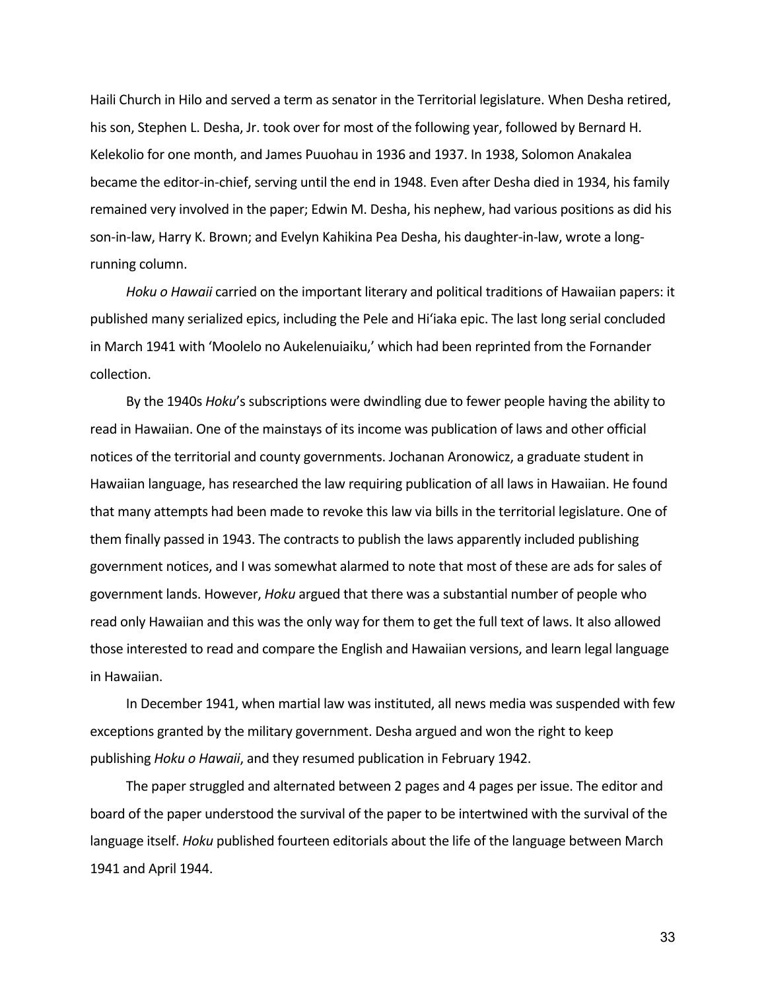Haili Church in Hilo and served a term as senator in the Territorial legislature. When Desha retired, his son, Stephen L. Desha, Jr. took over for most of the following year, followed by Bernard H. Kelekolio for one month, and James Puuohau in 1936 and 1937. In 1938, Solomon Anakalea became the editor-in-chief, serving until the end in 1948. Even after Desha died in 1934, his family remained very involved in the paper; Edwin M. Desha, his nephew, had various positions as did his son-in-law, Harry K. Brown; and Evelyn Kahikina Pea Desha, his daughter-in-law, wrote a longrunning column.

*Hoku o Hawaii* carried on the important literary and political traditions of Hawaiian papers: it published many serialized epics, including the Pele and Hiʻiaka epic. The last long serial concluded in March 1941 with 'Moolelo no Aukelenuiaiku,' which had been reprinted from the Fornander collection.

By the 1940s *Hoku*'s subscriptions were dwindling due to fewer people having the ability to read in Hawaiian. One of the mainstays of its income was publication of laws and other official notices of the territorial and county governments. Jochanan Aronowicz, a graduate student in Hawaiian language, has researched the law requiring publication of all laws in Hawaiian. He found that many attempts had been made to revoke this law via bills in the territorial legislature. One of them finally passed in 1943. The contracts to publish the laws apparently included publishing government notices, and I was somewhat alarmed to note that most of these are ads for sales of government lands. However, *Hoku* argued that there was a substantial number of people who read only Hawaiian and this was the only way for them to get the full text of laws. It also allowed those interested to read and compare the English and Hawaiian versions, and learn legal language in Hawaiian.

In December 1941, when martial law was instituted, all news media was suspended with few exceptions granted by the military government. Desha argued and won the right to keep publishing *Hoku o Hawaii*, and they resumed publication in February 1942.

The paper struggled and alternated between 2 pages and 4 pages per issue. The editor and board of the paper understood the survival of the paper to be intertwined with the survival of the language itself. *Hoku* published fourteen editorials about the life of the language between March 1941 and April 1944.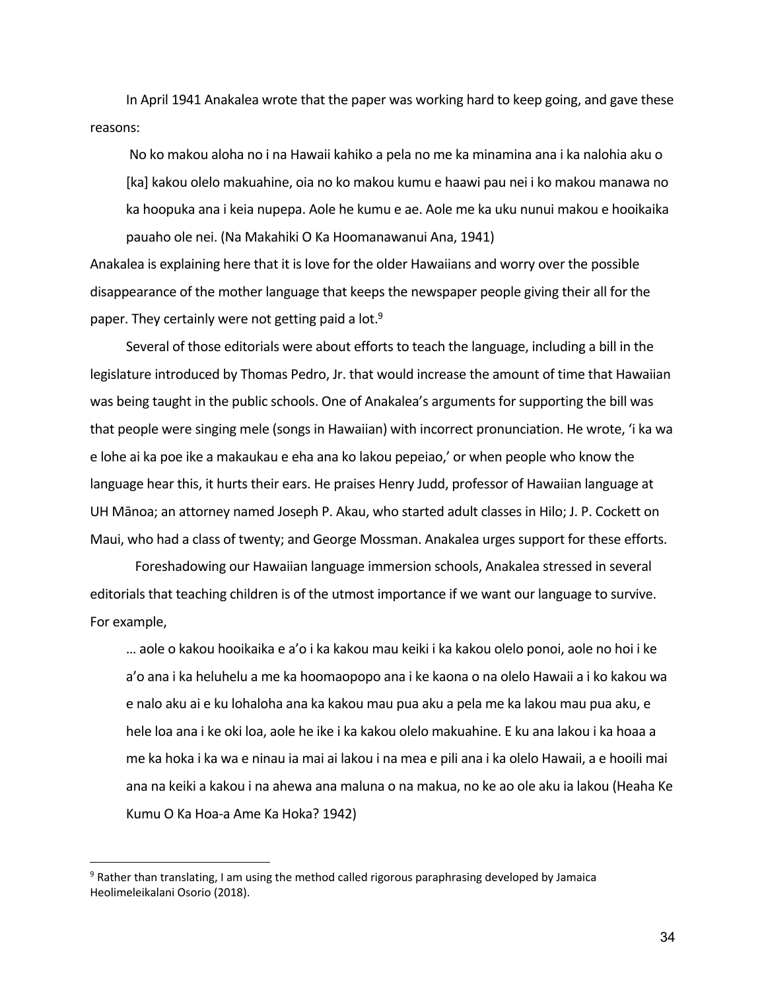In April 1941 Anakalea wrote that the paper was working hard to keep going, and gave these reasons:

No ko makou aloha no i na Hawaii kahiko a pela no me ka minamina ana i ka nalohia aku o [ka] kakou olelo makuahine, oia no ko makou kumu e haawi pau nei i ko makou manawa no ka hoopuka ana i keia nupepa. Aole he kumu e ae. Aole me ka uku nunui makou e hooikaika pauaho ole nei. (Na Makahiki O Ka Hoomanawanui Ana, 1941)

Anakalea is explaining here that it is love for the older Hawaiians and worry over the possible disappearance of the mother language that keeps the newspaper people giving their all for the paper. They certainly were not getting paid a lot.<sup>9</sup>

Several of those editorials were about efforts to teach the language, including a bill in the legislature introduced by Thomas Pedro, Jr. that would increase the amount of time that Hawaiian was being taught in the public schools. One of Anakalea's arguments for supporting the bill was that people were singing mele (songs in Hawaiian) with incorrect pronunciation. He wrote, 'i ka wa e lohe ai ka poe ike a makaukau e eha ana ko lakou pepeiao,' or when people who know the language hear this, it hurts their ears. He praises Henry Judd, professor of Hawaiian language at UH Mānoa; an attorney named Joseph P. Akau, who started adult classes in Hilo; J. P. Cockett on Maui, who had a class of twenty; and George Mossman. Anakalea urges support for these efforts.

Foreshadowing our Hawaiian language immersion schools, Anakalea stressed in several editorials that teaching children is of the utmost importance if we want our language to survive. For example,

… aole o kakou hooikaika e a'o i ka kakou mau keiki i ka kakou olelo ponoi, aole no hoi i ke a'o ana i ka heluhelu a me ka hoomaopopo ana i ke kaona o na olelo Hawaii a i ko kakou wa e nalo aku ai e ku lohaloha ana ka kakou mau pua aku a pela me ka lakou mau pua aku, e hele loa ana i ke oki loa, aole he ike i ka kakou olelo makuahine. E ku ana lakou i ka hoaa a me ka hoka i ka wa e ninau ia mai ai lakou i na mea e pili ana i ka olelo Hawaii, a e hooili mai ana na keiki a kakou i na ahewa ana maluna o na makua, no ke ao ole aku ia lakou (Heaha Ke Kumu O Ka Hoa-a Ame Ka Hoka? 1942)

<sup>9</sup> Rather than translating, I am using the method called rigorous paraphrasing developed by Jamaica Heolimeleikalani Osorio (2018).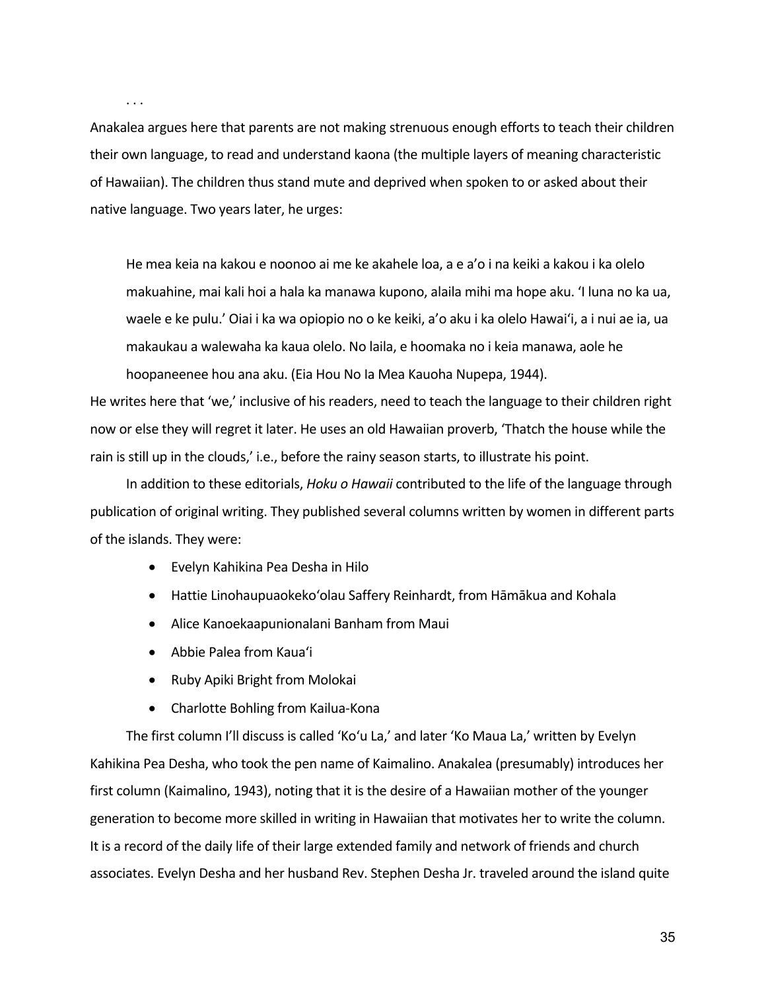. . .

Anakalea argues here that parents are not making strenuous enough efforts to teach their children their own language, to read and understand kaona (the multiple layers of meaning characteristic of Hawaiian). The children thus stand mute and deprived when spoken to or asked about their native language. Two years later, he urges:

He mea keia na kakou e noonoo ai me ke akahele loa, a e a'o i na keiki a kakou i ka olelo makuahine, mai kali hoi a hala ka manawa kupono, alaila mihi ma hope aku. 'I luna no ka ua, waele e ke pulu.' Oiai i ka wa opiopio no o ke keiki, a'o aku i ka olelo Hawaiʻi, a i nui ae ia, ua makaukau a walewaha ka kaua olelo. No laila, e hoomaka no i keia manawa, aole he hoopaneenee hou ana aku. (Eia Hou No Ia Mea Kauoha Nupepa, 1944).

He writes here that 'we,' inclusive of his readers, need to teach the language to their children right now or else they will regret it later. He uses an old Hawaiian proverb, 'Thatch the house while the rain is still up in the clouds,' i.e., before the rainy season starts, to illustrate his point.

In addition to these editorials, *Hoku o Hawaii* contributed to the life of the language through publication of original writing. They published several columns written by women in different parts of the islands. They were:

- Evelyn Kahikina Pea Desha in Hilo
- Hattie Linohaupuaokekoʻolau Saffery Reinhardt, from Hāmākua and Kohala
- Alice Kanoekaapunionalani Banham from Maui
- Abbie Palea from Kauaʻi
- Ruby Apiki Bright from Molokai
- Charlotte Bohling from Kailua-Kona

The first column I'll discuss is called 'Koʻu La,' and later 'Ko Maua La,' written by Evelyn Kahikina Pea Desha, who took the pen name of Kaimalino. Anakalea (presumably) introduces her first column (Kaimalino, 1943), noting that it is the desire of a Hawaiian mother of the younger generation to become more skilled in writing in Hawaiian that motivates her to write the column. It is a record of the daily life of their large extended family and network of friends and church associates. Evelyn Desha and her husband Rev. Stephen Desha Jr. traveled around the island quite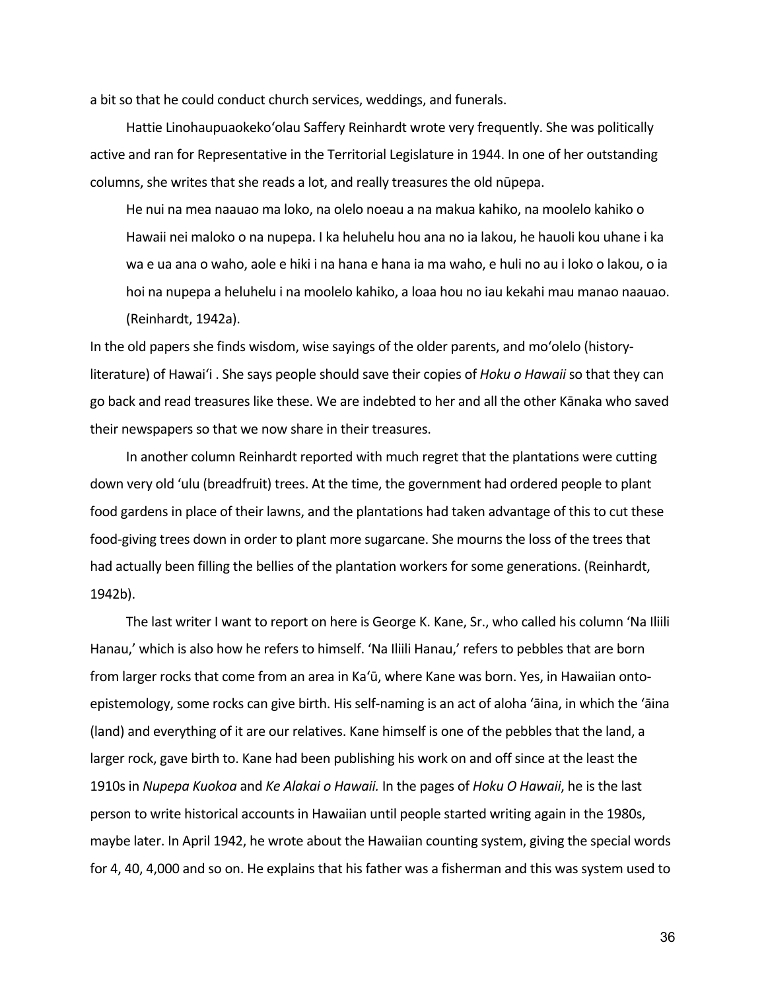a bit so that he could conduct church services, weddings, and funerals.

Hattie Linohaupuaokekoʻolau Saffery Reinhardt wrote very frequently. She was politically active and ran for Representative in the Territorial Legislature in 1944. In one of her outstanding columns, she writes that she reads a lot, and really treasures the old nūpepa.

He nui na mea naauao ma loko, na olelo noeau a na makua kahiko, na moolelo kahiko o Hawaii nei maloko o na nupepa. I ka heluhelu hou ana no ia lakou, he hauoli kou uhane i ka wa e ua ana o waho, aole e hiki i na hana e hana ia ma waho, e huli no au i loko o lakou, o ia hoi na nupepa a heluhelu i na moolelo kahiko, a loaa hou no iau kekahi mau manao naauao. (Reinhardt, 1942a).

In the old papers she finds wisdom, wise sayings of the older parents, and moʻolelo (historyliterature) of Hawaiʻi . She says people should save their copies of *Hoku o Hawaii* so that they can go back and read treasures like these. We are indebted to her and all the other Kānaka who saved their newspapers so that we now share in their treasures.

In another column Reinhardt reported with much regret that the plantations were cutting down very old 'ulu (breadfruit) trees. At the time, the government had ordered people to plant food gardens in place of their lawns, and the plantations had taken advantage of this to cut these food-giving trees down in order to plant more sugarcane. She mourns the loss of the trees that had actually been filling the bellies of the plantation workers for some generations. (Reinhardt, 1942b).

The last writer I want to report on here is George K. Kane, Sr., who called his column 'Na Iliili Hanau,' which is also how he refers to himself. 'Na Iliili Hanau,' refers to pebbles that are born from larger rocks that come from an area in Kaʻū, where Kane was born. Yes, in Hawaiian ontoepistemology, some rocks can give birth. His self-naming is an act of aloha 'āina, in which the 'āina (land) and everything of it are our relatives. Kane himself is one of the pebbles that the land, a larger rock, gave birth to. Kane had been publishing his work on and off since at the least the 1910s in *Nupepa Kuokoa* and *Ke Alakai o Hawaii.* In the pages of *Hoku O Hawaii*, he is the last person to write historical accounts in Hawaiian until people started writing again in the 1980s, maybe later. In April 1942, he wrote about the Hawaiian counting system, giving the special words for 4, 40, 4,000 and so on. He explains that his father was a fisherman and this was system used to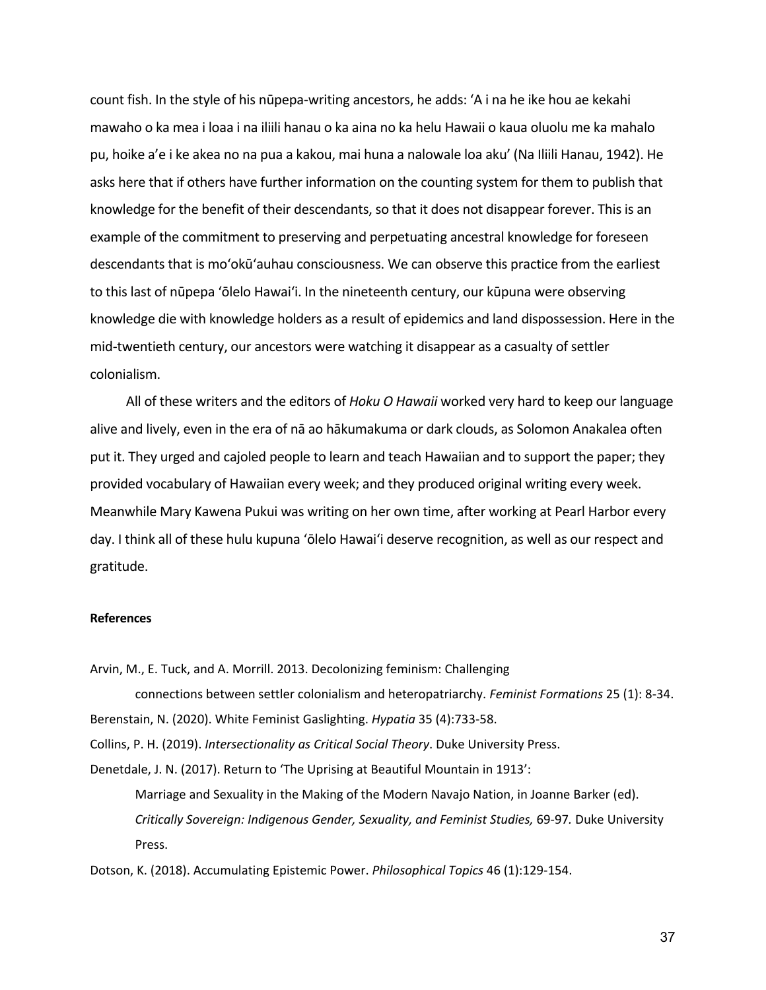count fish. In the style of his nūpepa-writing ancestors, he adds: 'A i na he ike hou ae kekahi mawaho o ka mea i loaa i na iliili hanau o ka aina no ka helu Hawaii o kaua oluolu me ka mahalo pu, hoike a'e i ke akea no na pua a kakou, mai huna a nalowale loa aku' (Na Iliili Hanau, 1942). He asks here that if others have further information on the counting system for them to publish that knowledge for the benefit of their descendants, so that it does not disappear forever. This is an example of the commitment to preserving and perpetuating ancestral knowledge for foreseen descendants that is moʻokūʻauhau consciousness. We can observe this practice from the earliest to this last of nūpepa 'ōlelo Hawaiʻi. In the nineteenth century, our kūpuna were observing knowledge die with knowledge holders as a result of epidemics and land dispossession. Here in the mid-twentieth century, our ancestors were watching it disappear as a casualty of settler colonialism.

All of these writers and the editors of *Hoku O Hawaii* worked very hard to keep our language alive and lively, even in the era of nā ao hākumakuma or dark clouds, as Solomon Anakalea often put it. They urged and cajoled people to learn and teach Hawaiian and to support the paper; they provided vocabulary of Hawaiian every week; and they produced original writing every week. Meanwhile Mary Kawena Pukui was writing on her own time, after working at Pearl Harbor every day. I think all of these hulu kupuna 'ōlelo Hawaiʻi deserve recognition, as well as our respect and gratitude.

## **References**

Arvin, M., E. Tuck, and A. Morrill. 2013. Decolonizing feminism: Challenging

connections between settler colonialism and heteropatriarchy. *Feminist Formations* 25 (1): 8-34. Berenstain, N. (2020). White Feminist Gaslighting. *Hypatia* 35 (4):733-58.

Collins, P. H. (2019). *Intersectionality as Critical Social Theory*. Duke University Press.

Denetdale, J. N. (2017). Return to 'The Uprising at Beautiful Mountain in 1913':

Marriage and Sexuality in the Making of the Modern Navajo Nation, in Joanne Barker (ed). *Critically Sovereign: Indigenous Gender, Sexuality, and Feminist Studies,* 69-97*.* Duke University Press.

Dotson, K. (2018). Accumulating Epistemic Power. *Philosophical Topics* 46 (1):129-154.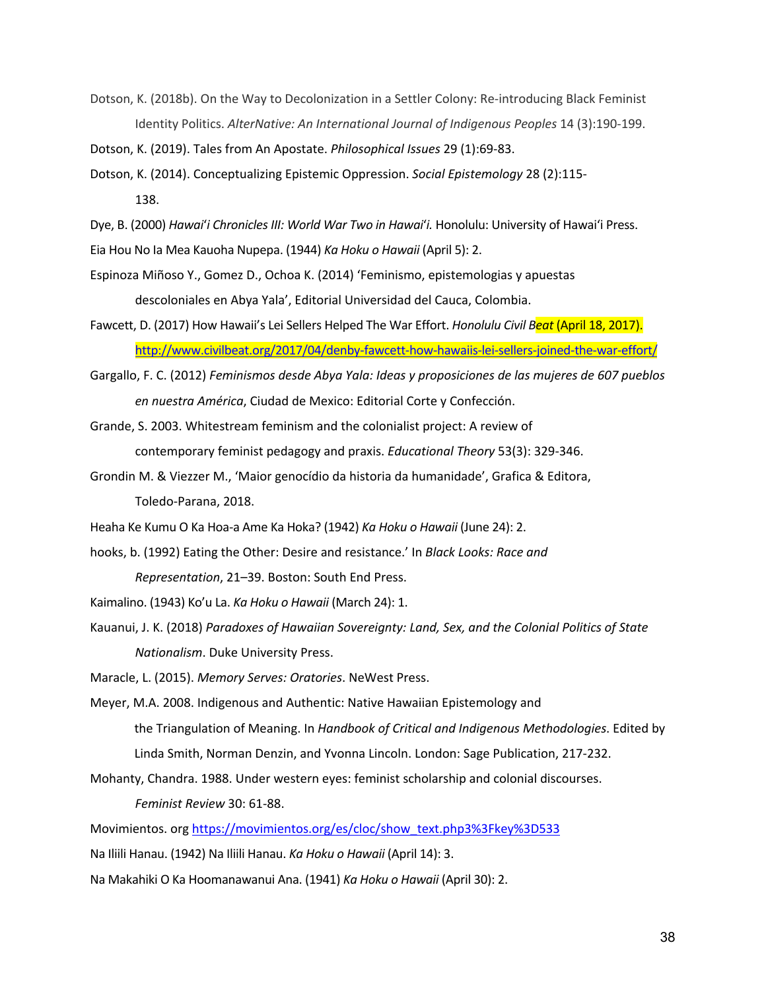Dotson, K. (2018b). On the Way to Decolonization in a Settler Colony: Re-introducing Black Feminist Identity Politics. *AlterNative: An International Journal of Indigenous Peoples* 14 (3):190-199.

Dotson, K. (2019). Tales from An Apostate. *Philosophical Issues* 29 (1):69-83.

Dotson, K. (2014). Conceptualizing Epistemic Oppression. *Social Epistemology* 28 (2):115- 138.

Dye, B. (2000) *Hawai*ʻ*i Chronicles III: World War Two in Hawai*ʻ*i.* Honolulu: University of Hawaiʻi Press.

Eia Hou No Ia Mea Kauoha Nupepa. (1944) *Ka Hoku o Hawaii* (April 5): 2.

- Espinoza Miñoso Y., Gomez D., Ochoa K. (2014) 'Feminismo, epistemologias y apuestas descoloniales en Abya Yala', Editorial Universidad del Cauca, Colombia.
- Fawcett, D. (2017) How Hawaii's Lei Sellers Helped The War Effort. *Honolulu Civil Beat* (April 18, 2017). http://www.civilbeat.org/2017/04/denby-fawcett-how-hawaiis-lei-sellers-joined-the-war-effort/
- Gargallo, F. C. (2012) *Feminismos desde Abya Yala: Ideas y proposiciones de las mujeres de 607 pueblos en nuestra América*, Ciudad de Mexico: Editorial Corte y Confección.
- Grande, S. 2003. Whitestream feminism and the colonialist project: A review of contemporary feminist pedagogy and praxis. *Educational Theory* 53(3): 329-346.
- Grondin M. & Viezzer M., 'Maior genocídio da historia da humanidade', Grafica & Editora, Toledo-Parana, 2018.
- Heaha Ke Kumu O Ka Hoa-a Ame Ka Hoka? (1942) *Ka Hoku o Hawaii* (June 24): 2.
- hooks, b. (1992) Eating the Other: Desire and resistance.' In *Black Looks: Race and Representation*, 21–39. Boston: South End Press.
- Kaimalino. (1943) Ko'u La. *Ka Hoku o Hawaii* (March 24): 1.
- Kauanui, J. K. (2018) *Paradoxes of Hawaiian Sovereignty: Land, Sex, and the Colonial Politics of State Nationalism*. Duke University Press.

Maracle, L. (2015). *Memory Serves: Oratories*. NeWest Press.

- Meyer, M.A. 2008. Indigenous and Authentic: Native Hawaiian Epistemology and the Triangulation of Meaning. In *Handbook of Critical and Indigenous Methodologies*. Edited by Linda Smith, Norman Denzin, and Yvonna Lincoln. London: Sage Publication, 217-232.
- Mohanty, Chandra. 1988. Under western eyes: feminist scholarship and colonial discourses.

*Feminist Review* 30: 61-88.

Movimientos. org https://movimientos.org/es/cloc/show\_text.php3%3Fkey%3D533

- Na Iliili Hanau. (1942) Na Iliili Hanau. *Ka Hoku o Hawaii* (April 14): 3.
- Na Makahiki O Ka Hoomanawanui Ana. (1941) *Ka Hoku o Hawaii* (April 30): 2.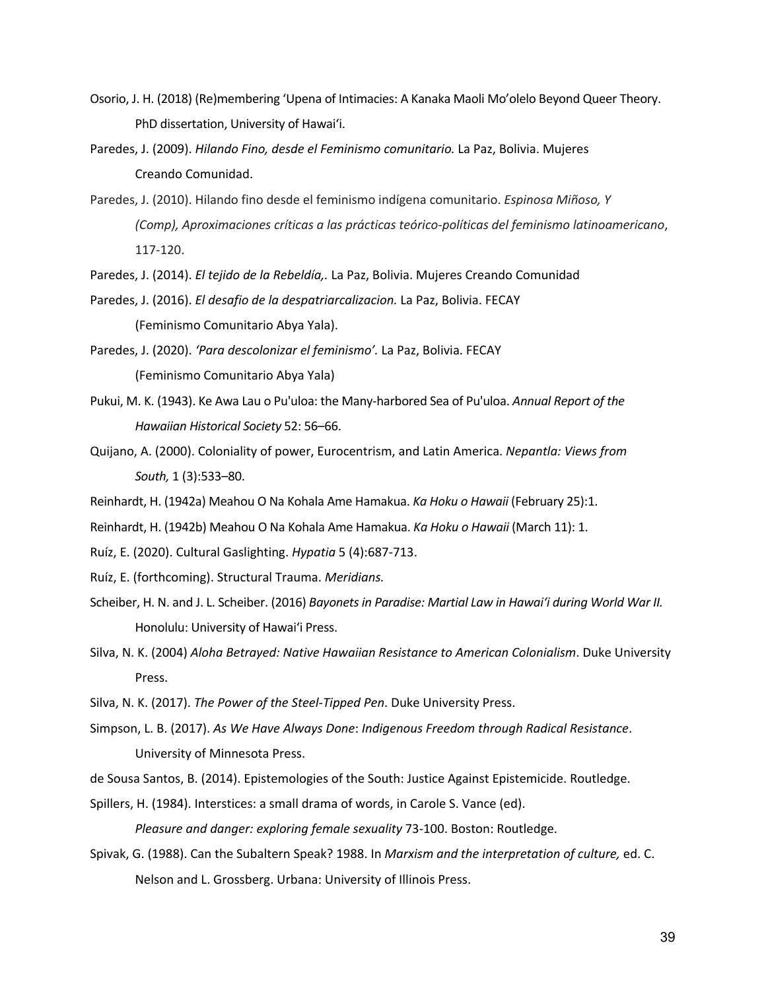- Osorio, J. H. (2018) (Re)membering ʻUpena of Intimacies: A Kanaka Maoli Mo'olelo Beyond Queer Theory. PhD dissertation, University of Hawaiʻi.
- Paredes, J. (2009). *Hilando Fino, desde el Feminismo comunitario.* La Paz, Bolivia. Mujeres Creando Comunidad.
- Paredes, J. (2010). Hilando fino desde el feminismo indígena comunitario. *Espinosa Miñoso, Y (Comp), Aproximaciones críticas a las prácticas teórico-políticas del feminismo latinoamericano*, 117-120.
- Paredes, J. (2014). *El tejido de la Rebeldía,.* La Paz, Bolivia. Mujeres Creando Comunidad
- Paredes, J. (2016). *El desafio de la despatriarcalizacion.* La Paz, Bolivia. FECAY (Feminismo Comunitario Abya Yala).
- Paredes, J. (2020). *'Para descolonizar el feminismo'.* La Paz, Bolivia. FECAY (Feminismo Comunitario Abya Yala)
- Pukui, M. K. (1943). Ke Awa Lau o Pu'uloa: the Many-harbored Sea of Pu'uloa. *Annual Report of the Hawaiian Historical Society* 52: 56–66.
- Quijano, A. (2000). Coloniality of power, Eurocentrism, and Latin America. *Nepantla: Views from South,* 1 (3):533–80.
- Reinhardt, H. (1942a) Meahou O Na Kohala Ame Hamakua. *Ka Hoku o Hawaii* (February 25):1.
- Reinhardt, H. (1942b) Meahou O Na Kohala Ame Hamakua. *Ka Hoku o Hawaii* (March 11): 1.
- Ruíz, E. (2020). Cultural Gaslighting. *Hypatia* 5 (4):687-713.
- Ruíz, E. (forthcoming). Structural Trauma. *Meridians.*
- Scheiber, H. N. and J. L. Scheiber. (2016) *Bayonets in Paradise: Martial Law in Hawaiʻi during World War II.* Honolulu: University of Hawaiʻi Press.
- Silva, N. K. (2004) *Aloha Betrayed: Native Hawaiian Resistance to American Colonialism*. Duke University Press.
- Silva, N. K. (2017). *The Power of the Steel-Tipped Pen*. Duke University Press.
- Simpson, L. B. (2017). *As We Have Always Done*: *Indigenous Freedom through Radical Resistance*. University of Minnesota Press.
- de Sousa Santos, B. (2014). Epistemologies of the South: Justice Against Epistemicide. Routledge.
- Spillers, H. (1984). Interstices: a small drama of words, in Carole S. Vance (ed).

*Pleasure and danger: exploring female sexuality* 73-100. Boston: Routledge.

Spivak, G. (1988). Can the Subaltern Speak? 1988. In *Marxism and the interpretation of culture,* ed. C. Nelson and L. Grossberg. Urbana: University of Illinois Press.